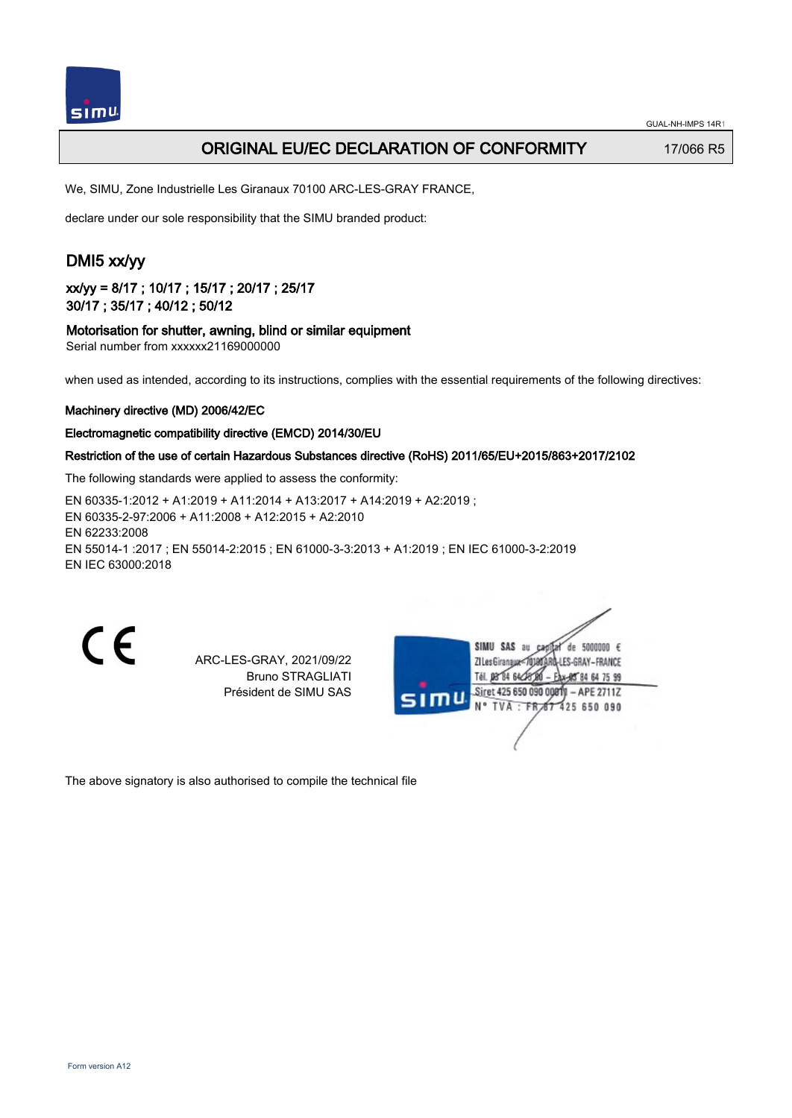

## ORIGINAL EU/EC DECLARATION OF CONFORMITY 17/066 R5

We, SIMU, Zone Industrielle Les Giranaux 70100 ARC-LES-GRAY FRANCE,

declare under our sole responsibility that the SIMU branded product:

# DMI5 xx/yy

xx/yy = 8/17 ; 10/17 ; 15/17 ; 20/17 ; 25/17 30/17 ; 35/17 ; 40/12 ; 50/12

### Motorisation for shutter, awning, blind or similar equipment

Serial number from xxxxxx21169000000

when used as intended, according to its instructions, complies with the essential requirements of the following directives:

### Machinery directive (MD) 2006/42/EC

### Electromagnetic compatibility directive (EMCD) 2014/30/EU

### Restriction of the use of certain Hazardous Substances directive (RoHS) 2011/65/EU+2015/863+2017/2102

The following standards were applied to assess the conformity:

EN 60335‑1:2012 + A1:2019 + A11:2014 + A13:2017 + A14:2019 + A2:2019 ; EN 60335‑2‑97:2006 + A11:2008 + A12:2015 + A2:2010 EN 62233:2008 EN 55014‑1 :2017 ; EN 55014‑2:2015 ; EN 61000‑3‑3:2013 + A1:2019 ; EN IEC 61000‑3‑2:2019 EN IEC 63000:2018

ARC-LES-GRAY, 2021/09/22 Bruno STRAGLIATI Président de SIMU SAS

|     | SIMU SAS<br>5000000 $\epsilon$<br>de<br>au<br>ARD-LES-GRAY – FRANCE<br>ZI Les Giranaux<br>Tél. 08 84 64 28 8<br>Eax-85 84 64 75 99 |  |
|-----|------------------------------------------------------------------------------------------------------------------------------------|--|
| SIT | Siret 425 650 090 00811 - APE 2711Z<br>N° TVA : FR 67 425 650 090                                                                  |  |
|     |                                                                                                                                    |  |

The above signatory is also authorised to compile the technical file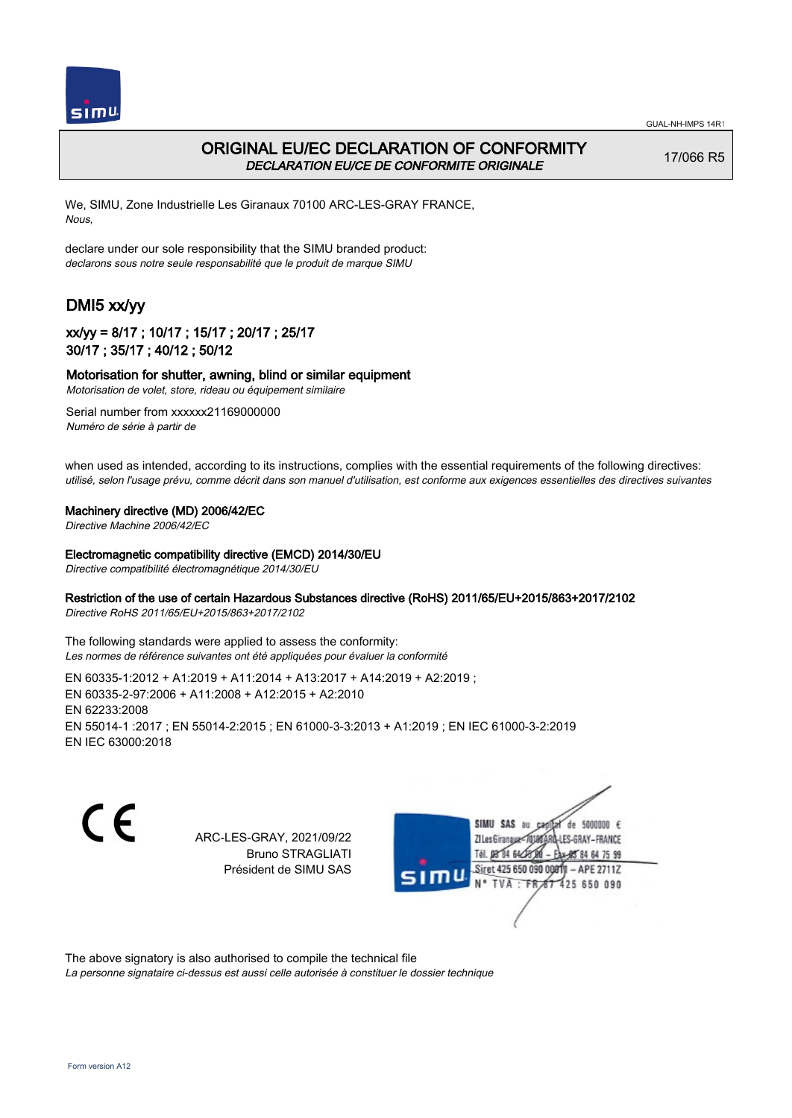



## ORIGINAL EU/EC DECLARATION OF CONFORMITY DECLARATION EU/CE DE CONFORMITE ORIGINALE

17/066 R5

We, SIMU, Zone Industrielle Les Giranaux 70100 ARC-LES-GRAY FRANCE, Nous,

declare under our sole responsibility that the SIMU branded product: declarons sous notre seule responsabilité que le produit de marque SIMU

# DMI5 xx/yy

## xx/yy = 8/17 ; 10/17 ; 15/17 ; 20/17 ; 25/17 30/17 ; 35/17 ; 40/12 ; 50/12

### Motorisation for shutter, awning, blind or similar equipment

Motorisation de volet, store, rideau ou équipement similaire

Serial number from xxxxxx21169000000 Numéro de série à partir de

when used as intended, according to its instructions, complies with the essential requirements of the following directives: utilisé, selon l'usage prévu, comme décrit dans son manuel d'utilisation, est conforme aux exigences essentielles des directives suivantes

#### Machinery directive (MD) 2006/42/EC

Directive Machine 2006/42/EC

#### Electromagnetic compatibility directive (EMCD) 2014/30/EU

Directive compatibilité électromagnétique 2014/30/EU

### Restriction of the use of certain Hazardous Substances directive (RoHS) 2011/65/EU+2015/863+2017/2102

Directive RoHS 2011/65/EU+2015/863+2017/2102

The following standards were applied to assess the conformity: Les normes de référence suivantes ont été appliquées pour évaluer la conformité

EN 60335‑1:2012 + A1:2019 + A11:2014 + A13:2017 + A14:2019 + A2:2019 ; EN 60335‑2‑97:2006 + A11:2008 + A12:2015 + A2:2010 EN 62233:2008 EN 55014‑1 :2017 ; EN 55014‑2:2015 ; EN 61000‑3‑3:2013 + A1:2019 ; EN IEC 61000‑3‑2:2019 EN IEC 63000:2018

C F

ARC-LES-GRAY, 2021/09/22 Bruno STRAGLIATI Président de SIMU SAS

de 5000000  $\epsilon$ **ZILes Giranaux** ES-GRAY-FRANCE Tél. 08 84 64 24 84 64 75 99 Siret 425 650 090 00811 - APE 2711Z 425 650 090 TVA

The above signatory is also authorised to compile the technical file

La personne signataire ci-dessus est aussi celle autorisée à constituer le dossier technique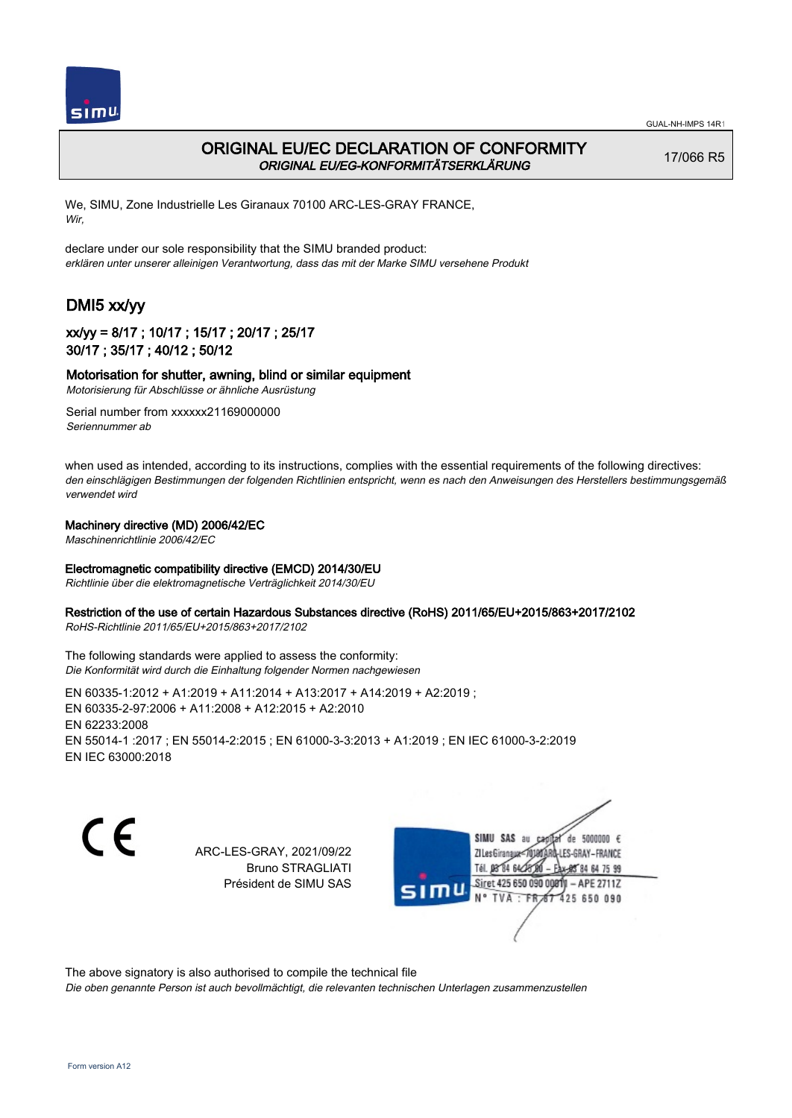



## ORIGINAL EU/EC DECLARATION OF CONFORMITY ORIGINAL EU/EG-KONFORMITÄTSERKLÄRUNG

17/066 R5

We, SIMU, Zone Industrielle Les Giranaux 70100 ARC-LES-GRAY FRANCE, Wir,

declare under our sole responsibility that the SIMU branded product: erklären unter unserer alleinigen Verantwortung, dass das mit der Marke SIMU versehene Produkt

# DMI5 xx/yy

## xx/yy = 8/17 ; 10/17 ; 15/17 ; 20/17 ; 25/17 30/17 ; 35/17 ; 40/12 ; 50/12

### Motorisation for shutter, awning, blind or similar equipment

Motorisierung für Abschlüsse or ähnliche Ausrüstung Serial number from xxxxxx21169000000

Seriennummer ab

when used as intended, according to its instructions, complies with the essential requirements of the following directives: den einschlägigen Bestimmungen der folgenden Richtlinien entspricht, wenn es nach den Anweisungen des Herstellers bestimmungsgemäß verwendet wird

### Machinery directive (MD) 2006/42/EC

Maschinenrichtlinie 2006/42/EC

### Electromagnetic compatibility directive (EMCD) 2014/30/EU

Richtlinie über die elektromagnetische Verträglichkeit 2014/30/EU

### Restriction of the use of certain Hazardous Substances directive (RoHS) 2011/65/EU+2015/863+2017/2102

RoHS-Richtlinie 2011/65/EU+2015/863+2017/2102

The following standards were applied to assess the conformity: Die Konformität wird durch die Einhaltung folgender Normen nachgewiesen

EN 60335‑1:2012 + A1:2019 + A11:2014 + A13:2017 + A14:2019 + A2:2019 ; EN 60335‑2‑97:2006 + A11:2008 + A12:2015 + A2:2010 EN 62233:2008 EN 55014‑1 :2017 ; EN 55014‑2:2015 ; EN 61000‑3‑3:2013 + A1:2019 ; EN IEC 61000‑3‑2:2019 EN IEC 63000:2018

CE

ARC-LES-GRAY, 2021/09/22 Bruno STRAGLIATI Président de SIMU SAS

SIMU SAS de 5000000  $\epsilon$ **ZILes Giranaux** ES-GRAY-FRANCE 64 75 99 Siret 425 650 090 00811  $-$  APE 2711Z 425 650 090

The above signatory is also authorised to compile the technical file

Die oben genannte Person ist auch bevollmächtigt, die relevanten technischen Unterlagen zusammenzustellen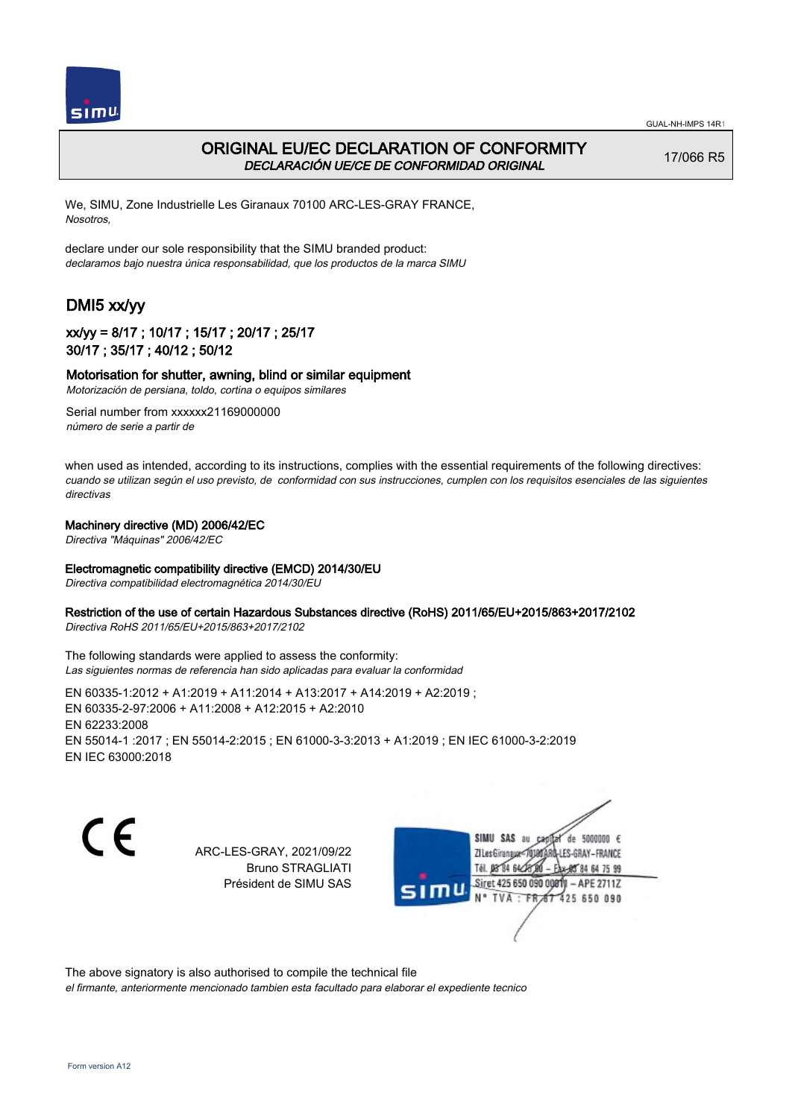



## ORIGINAL EU/EC DECLARATION OF CONFORMITY DECLARACIÓN UE/CE DE CONFORMIDAD ORIGINAL

17/066 R5

We, SIMU, Zone Industrielle Les Giranaux 70100 ARC-LES-GRAY FRANCE, Nosotros,

declare under our sole responsibility that the SIMU branded product: declaramos bajo nuestra única responsabilidad, que los productos de la marca SIMU

# DMI5 xx/yy

### xx/yy = 8/17 ; 10/17 ; 15/17 ; 20/17 ; 25/17 30/17 ; 35/17 ; 40/12 ; 50/12

### Motorisation for shutter, awning, blind or similar equipment

Motorización de persiana, toldo, cortina o equipos similares

Serial number from xxxxxx21169000000 número de serie a partir de

when used as intended, according to its instructions, complies with the essential requirements of the following directives: cuando se utilizan según el uso previsto, de conformidad con sus instrucciones, cumplen con los requisitos esenciales de las siguientes directivas

### Machinery directive (MD) 2006/42/EC

Directiva "Máquinas" 2006/42/EC

#### Electromagnetic compatibility directive (EMCD) 2014/30/EU

Directiva compatibilidad electromagnética 2014/30/EU

#### Restriction of the use of certain Hazardous Substances directive (RoHS) 2011/65/EU+2015/863+2017/2102

Directiva RoHS 2011/65/EU+2015/863+2017/2102

The following standards were applied to assess the conformity: Las siguientes normas de referencia han sido aplicadas para evaluar la conformidad

EN 60335‑1:2012 + A1:2019 + A11:2014 + A13:2017 + A14:2019 + A2:2019 ; EN 60335‑2‑97:2006 + A11:2008 + A12:2015 + A2:2010 EN 62233:2008 EN 55014‑1 :2017 ; EN 55014‑2:2015 ; EN 61000‑3‑3:2013 + A1:2019 ; EN IEC 61000‑3‑2:2019 EN IEC 63000:2018

C F

ARC-LES-GRAY, 2021/09/22 Bruno STRAGLIATI Président de SIMU SAS

SIMU SAS au de 5000000  $\epsilon$ **ZILes Giranaux** ES-GRAY-FRANCE 64 75 99 Siret 425 650 090 00811  $-$  APE 2711Z 425 650 090

The above signatory is also authorised to compile the technical file

el firmante, anteriormente mencionado tambien esta facultado para elaborar el expediente tecnico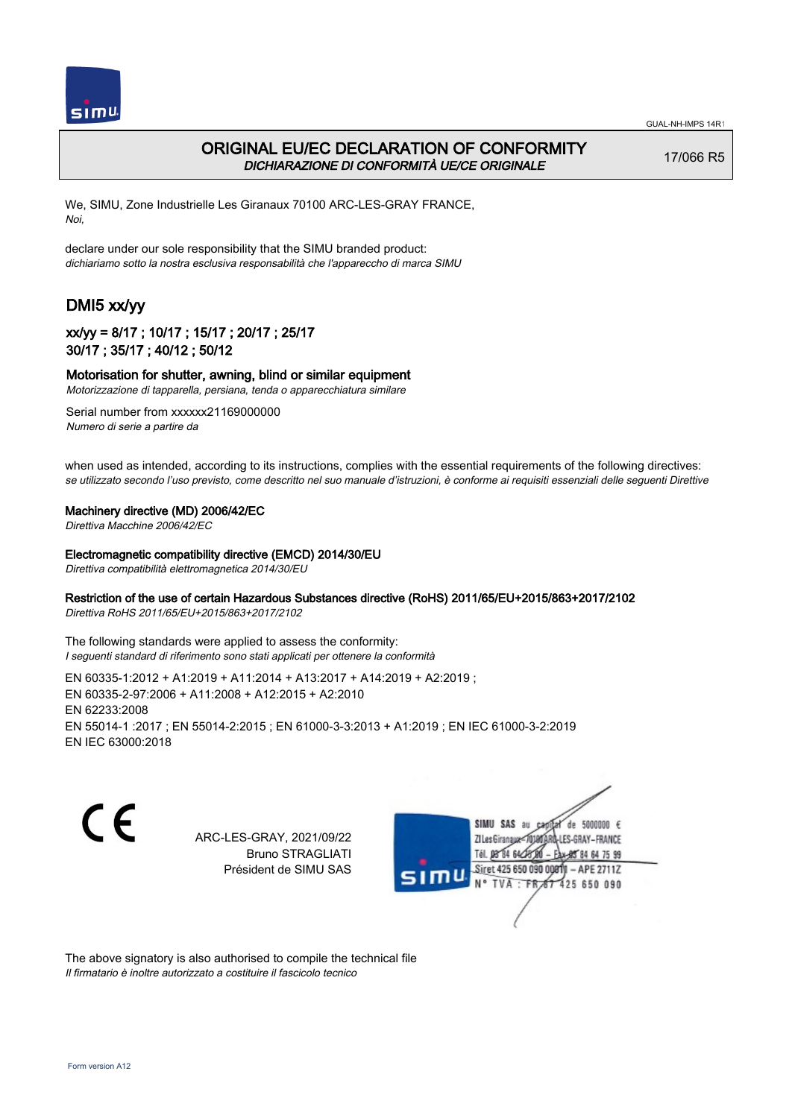



## ORIGINAL EU/EC DECLARATION OF CONFORMITY DICHIARAZIONE DI CONFORMITÀ UE/CE ORIGINALE

17/066 R5

We, SIMU, Zone Industrielle Les Giranaux 70100 ARC-LES-GRAY FRANCE, Noi,

declare under our sole responsibility that the SIMU branded product: dichiariamo sotto la nostra esclusiva responsabilità che l'appareccho di marca SIMU

# DMI5 xx/yy

### xx/yy = 8/17 ; 10/17 ; 15/17 ; 20/17 ; 25/17 30/17 ; 35/17 ; 40/12 ; 50/12

#### Motorisation for shutter, awning, blind or similar equipment

Motorizzazione di tapparella, persiana, tenda o apparecchiatura similare

Serial number from xxxxxx21169000000 Numero di serie a partire da

when used as intended, according to its instructions, complies with the essential requirements of the following directives: se utilizzato secondo l'uso previsto, come descritto nel suo manuale d'istruzioni, è conforme ai requisiti essenziali delle seguenti Direttive

#### Machinery directive (MD) 2006/42/EC

Direttiva Macchine 2006/42/EC

#### Electromagnetic compatibility directive (EMCD) 2014/30/EU

Direttiva compatibilità elettromagnetica 2014/30/EU

#### Restriction of the use of certain Hazardous Substances directive (RoHS) 2011/65/EU+2015/863+2017/2102

Direttiva RoHS 2011/65/EU+2015/863+2017/2102

The following standards were applied to assess the conformity: I seguenti standard di riferimento sono stati applicati per ottenere la conformità

EN 60335‑1:2012 + A1:2019 + A11:2014 + A13:2017 + A14:2019 + A2:2019 ; EN 60335‑2‑97:2006 + A11:2008 + A12:2015 + A2:2010 EN 62233:2008 EN 55014‑1 :2017 ; EN 55014‑2:2015 ; EN 61000‑3‑3:2013 + A1:2019 ; EN IEC 61000‑3‑2:2019 EN IEC 63000:2018

C F

ARC-LES-GRAY, 2021/09/22 Bruno STRAGLIATI Président de SIMU SAS



The above signatory is also authorised to compile the technical file Il firmatario è inoltre autorizzato a costituire il fascicolo tecnico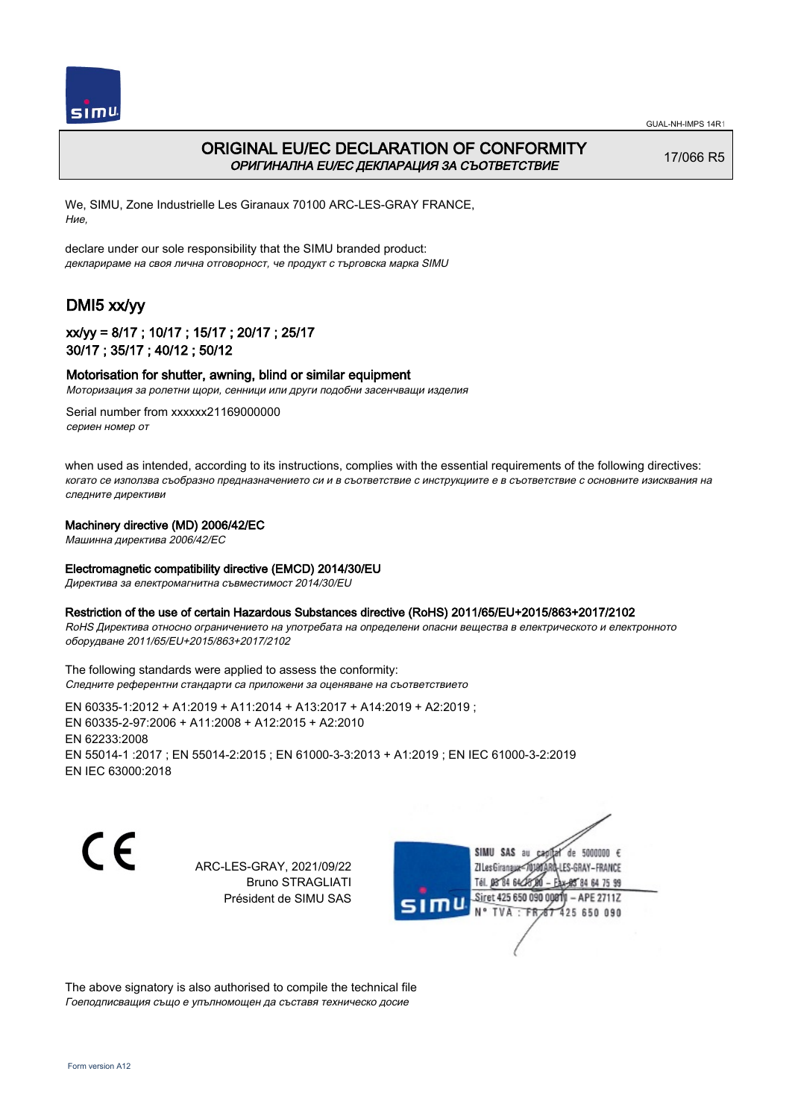



## ORIGINAL EU/EC DECLARATION OF CONFORMITY ОРИГИНАЛНА EU/EC ДЕКЛАРАЦИЯ ЗА СЪОТВЕТСТВИЕ

17/066 R5

We, SIMU, Zone Industrielle Les Giranaux 70100 ARC-LES-GRAY FRANCE, Ние,

declare under our sole responsibility that the SIMU branded product: декларираме на своя лична отговорност, че продукт с търговска марка SIMU

# DMI5 xx/yy

## xx/yy = 8/17 ; 10/17 ; 15/17 ; 20/17 ; 25/17 30/17 ; 35/17 ; 40/12 ; 50/12

#### Motorisation for shutter, awning, blind or similar equipment

Моторизация за ролетни щори, сенници или други подобни засенчващи изделия

Serial number from xxxxxx21169000000 сериен номер от

when used as intended, according to its instructions, complies with the essential requirements of the following directives: когато се използва съобразно предназначението си и в съответствие с инструкциите е в съответствие с основните изисквания на следните директиви

### Machinery directive (MD) 2006/42/EC

Машинна директива 2006/42/EC

#### Electromagnetic compatibility directive (EMCD) 2014/30/EU

Директива за електромагнитна съвместимост 2014/30/EU

#### Restriction of the use of certain Hazardous Substances directive (RoHS) 2011/65/EU+2015/863+2017/2102

RoHS Директива относно ограничението на употребата на определени опасни вещества в електрическото и електронното оборудване 2011/65/EU+2015/863+2017/2102

The following standards were applied to assess the conformity: Следните референтни стандарти са приложени за оценяване на съответствието

EN 60335‑1:2012 + A1:2019 + A11:2014 + A13:2017 + A14:2019 + A2:2019 ; EN 60335‑2‑97:2006 + A11:2008 + A12:2015 + A2:2010 EN 62233:2008 EN 55014‑1 :2017 ; EN 55014‑2:2015 ; EN 61000‑3‑3:2013 + A1:2019 ; EN IEC 61000‑3‑2:2019 EN IEC 63000:2018

( F

ARC-LES-GRAY, 2021/09/22 Bruno STRAGLIATI Président de SIMU SAS



The above signatory is also authorised to compile the technical file Гоеподписващия също е упълномощен да съставя техническо досие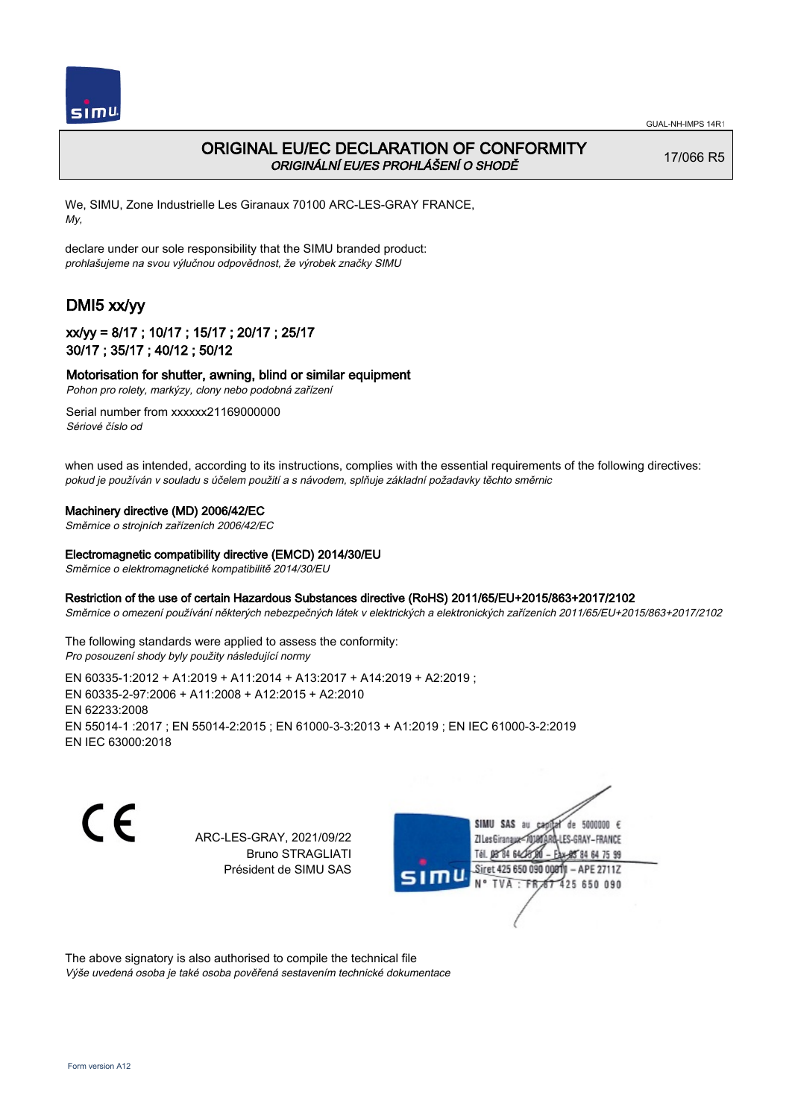

# ORIGINAL EU/EC DECLARATION OF CONFORMITY ORIGINÁLNÍ EU/ES PROHLÁŠENÍ O SHODĚ

17/066 R5

We, SIMU, Zone Industrielle Les Giranaux 70100 ARC-LES-GRAY FRANCE, My,

declare under our sole responsibility that the SIMU branded product: prohlašujeme na svou výlučnou odpovědnost, že výrobek značky SIMU

# DMI5 xx/yy

## xx/yy = 8/17 ; 10/17 ; 15/17 ; 20/17 ; 25/17 30/17 ; 35/17 ; 40/12 ; 50/12

### Motorisation for shutter, awning, blind or similar equipment

Pohon pro rolety, markýzy, clony nebo podobná zařízení

Serial number from xxxxxx21169000000 Sériové číslo od

when used as intended, according to its instructions, complies with the essential requirements of the following directives: pokud je používán v souladu s účelem použití a s návodem, splňuje základní požadavky těchto směrnic

### Machinery directive (MD) 2006/42/EC

Směrnice o strojních zařízeních 2006/42/EC

### Electromagnetic compatibility directive (EMCD) 2014/30/EU

Směrnice o elektromagnetické kompatibilitě 2014/30/EU

### Restriction of the use of certain Hazardous Substances directive (RoHS) 2011/65/EU+2015/863+2017/2102

Směrnice o omezení používání některých nebezpečných látek v elektrických a elektronických zařízeních 2011/65/EU+2015/863+2017/2102

The following standards were applied to assess the conformity: Pro posouzení shody byly použity následující normy

EN 60335‑1:2012 + A1:2019 + A11:2014 + A13:2017 + A14:2019 + A2:2019 ; EN 60335‑2‑97:2006 + A11:2008 + A12:2015 + A2:2010 EN 62233:2008 EN 55014‑1 :2017 ; EN 55014‑2:2015 ; EN 61000‑3‑3:2013 + A1:2019 ; EN IEC 61000‑3‑2:2019 EN IEC 63000:2018

C F

ARC-LES-GRAY, 2021/09/22 Bruno STRAGLIATI Président de SIMU SAS



The above signatory is also authorised to compile the technical file

Výše uvedená osoba je také osoba pověřená sestavením technické dokumentace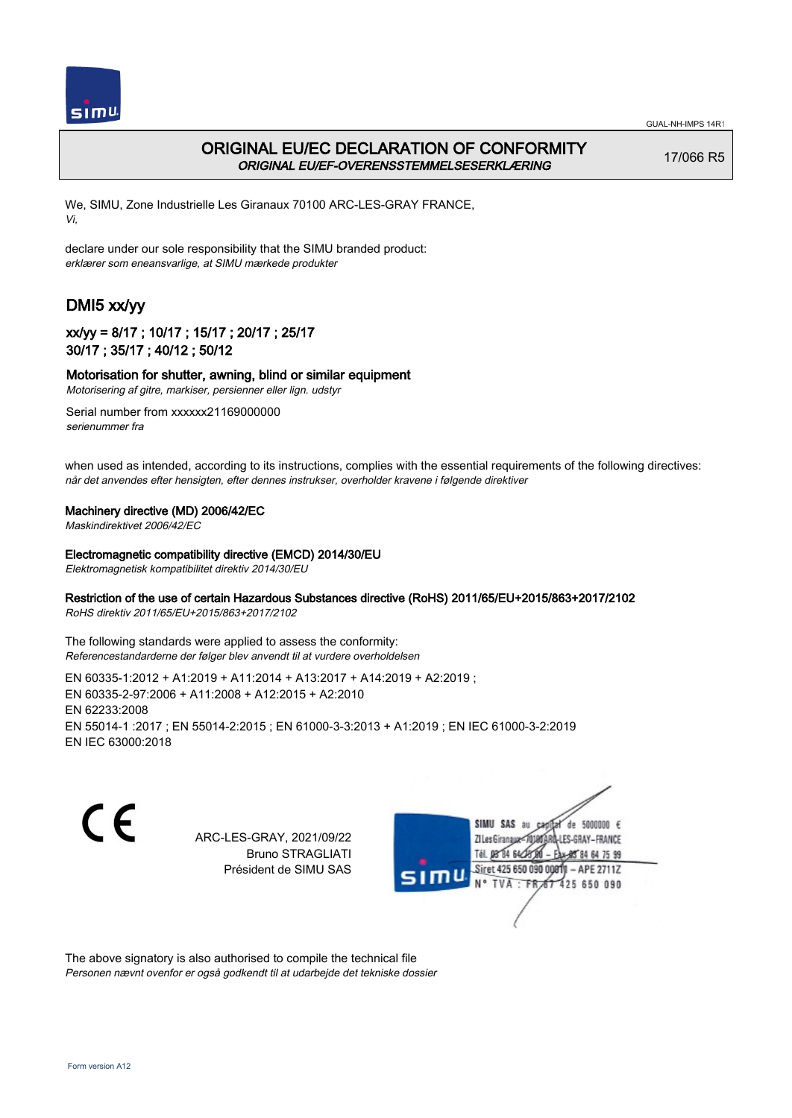



## ORIGINAL EU/EC DECLARATION OF CONFORMITY ORIGINAL EU/EF-OVERENSSTEMMELSESERKLÆRING

17/066 R5

We, SIMU, Zone Industrielle Les Giranaux 70100 ARC-LES-GRAY FRANCE, Vi,

declare under our sole responsibility that the SIMU branded product: erklærer som eneansvarlige, at SIMU mærkede produkter

# DMI5 xx/yy

## xx/yy = 8/17 ; 10/17 ; 15/17 ; 20/17 ; 25/17 30/17 ; 35/17 ; 40/12 ; 50/12

### Motorisation for shutter, awning, blind or similar equipment

Motorisering af gitre, markiser, persienner eller lign. udstyr

Serial number from xxxxxx21169000000 serienummer fra

when used as intended, according to its instructions, complies with the essential requirements of the following directives: når det anvendes efter hensigten, efter dennes instrukser, overholder kravene i følgende direktiver

### Machinery directive (MD) 2006/42/EC

Maskindirektivet 2006/42/EC

#### Electromagnetic compatibility directive (EMCD) 2014/30/EU

Elektromagnetisk kompatibilitet direktiv 2014/30/EU

### Restriction of the use of certain Hazardous Substances directive (RoHS) 2011/65/EU+2015/863+2017/2102

RoHS direktiv 2011/65/EU+2015/863+2017/2102

The following standards were applied to assess the conformity: Referencestandarderne der følger blev anvendt til at vurdere overholdelsen

EN 60335‑1:2012 + A1:2019 + A11:2014 + A13:2017 + A14:2019 + A2:2019 ; EN 60335‑2‑97:2006 + A11:2008 + A12:2015 + A2:2010 EN 62233:2008 EN 55014‑1 :2017 ; EN 55014‑2:2015 ; EN 61000‑3‑3:2013 + A1:2019 ; EN IEC 61000‑3‑2:2019 EN IEC 63000:2018

C F

ARC-LES-GRAY, 2021/09/22 Bruno STRAGLIATI Président de SIMU SAS



The above signatory is also authorised to compile the technical file Personen nævnt ovenfor er også godkendt til at udarbejde det tekniske dossier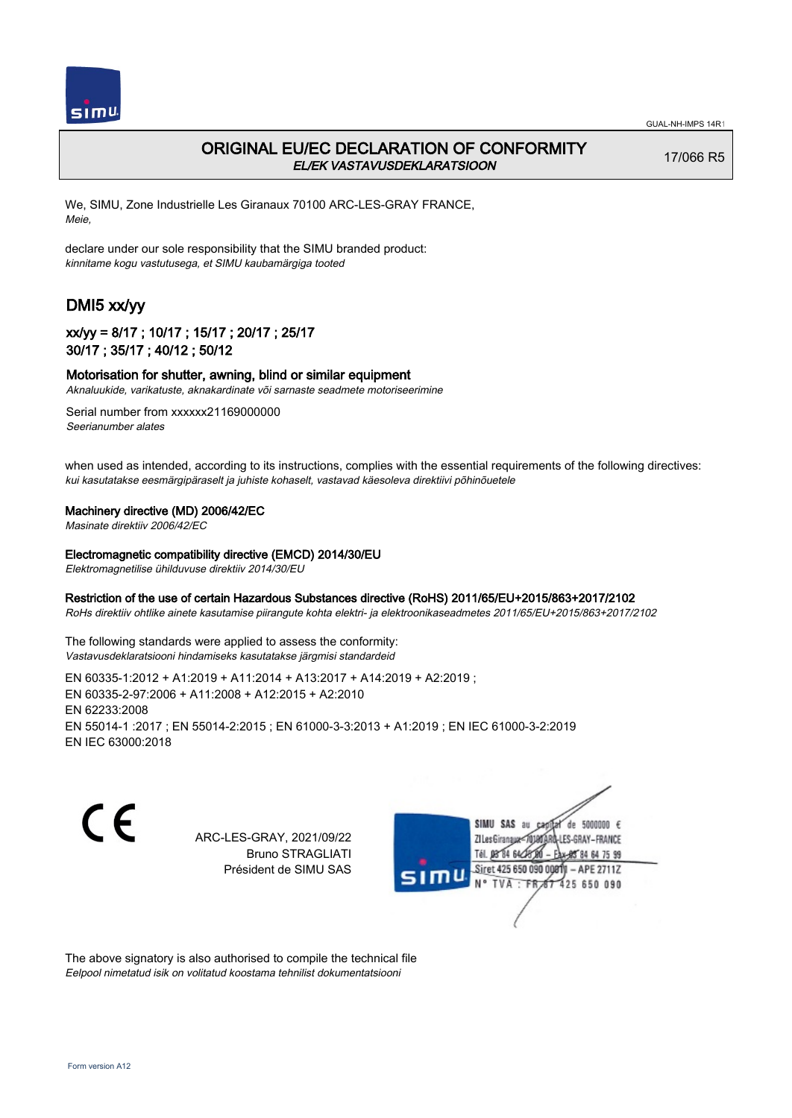

# ORIGINAL EU/EC DECLARATION OF CONFORMITY EL/EK VASTAVUSDEKLARATSIOON

17/066 R5

We, SIMU, Zone Industrielle Les Giranaux 70100 ARC-LES-GRAY FRANCE, Meie,

declare under our sole responsibility that the SIMU branded product: kinnitame kogu vastutusega, et SIMU kaubamärgiga tooted

# DMI5 xx/yy

## xx/yy = 8/17 ; 10/17 ; 15/17 ; 20/17 ; 25/17 30/17 ; 35/17 ; 40/12 ; 50/12

### Motorisation for shutter, awning, blind or similar equipment

Aknaluukide, varikatuste, aknakardinate või sarnaste seadmete motoriseerimine

Serial number from xxxxxx21169000000 Seerianumber alates

when used as intended, according to its instructions, complies with the essential requirements of the following directives: kui kasutatakse eesmärgipäraselt ja juhiste kohaselt, vastavad käesoleva direktiivi põhinõuetele

#### Machinery directive (MD) 2006/42/EC

Masinate direktiiv 2006/42/EC

#### Electromagnetic compatibility directive (EMCD) 2014/30/EU

Elektromagnetilise ühilduvuse direktiiv 2014/30/EU

#### Restriction of the use of certain Hazardous Substances directive (RoHS) 2011/65/EU+2015/863+2017/2102

RoHs direktiiv ohtlike ainete kasutamise piirangute kohta elektri- ja elektroonikaseadmetes 2011/65/EU+2015/863+2017/2102

The following standards were applied to assess the conformity: Vastavusdeklaratsiooni hindamiseks kasutatakse järgmisi standardeid

EN 60335‑1:2012 + A1:2019 + A11:2014 + A13:2017 + A14:2019 + A2:2019 ; EN 60335‑2‑97:2006 + A11:2008 + A12:2015 + A2:2010 EN 62233:2008 EN 55014‑1 :2017 ; EN 55014‑2:2015 ; EN 61000‑3‑3:2013 + A1:2019 ; EN IEC 61000‑3‑2:2019 EN IEC 63000:2018

C F

ARC-LES-GRAY, 2021/09/22 Bruno STRAGLIATI Président de SIMU SAS



The above signatory is also authorised to compile the technical file Eelpool nimetatud isik on volitatud koostama tehnilist dokumentatsiooni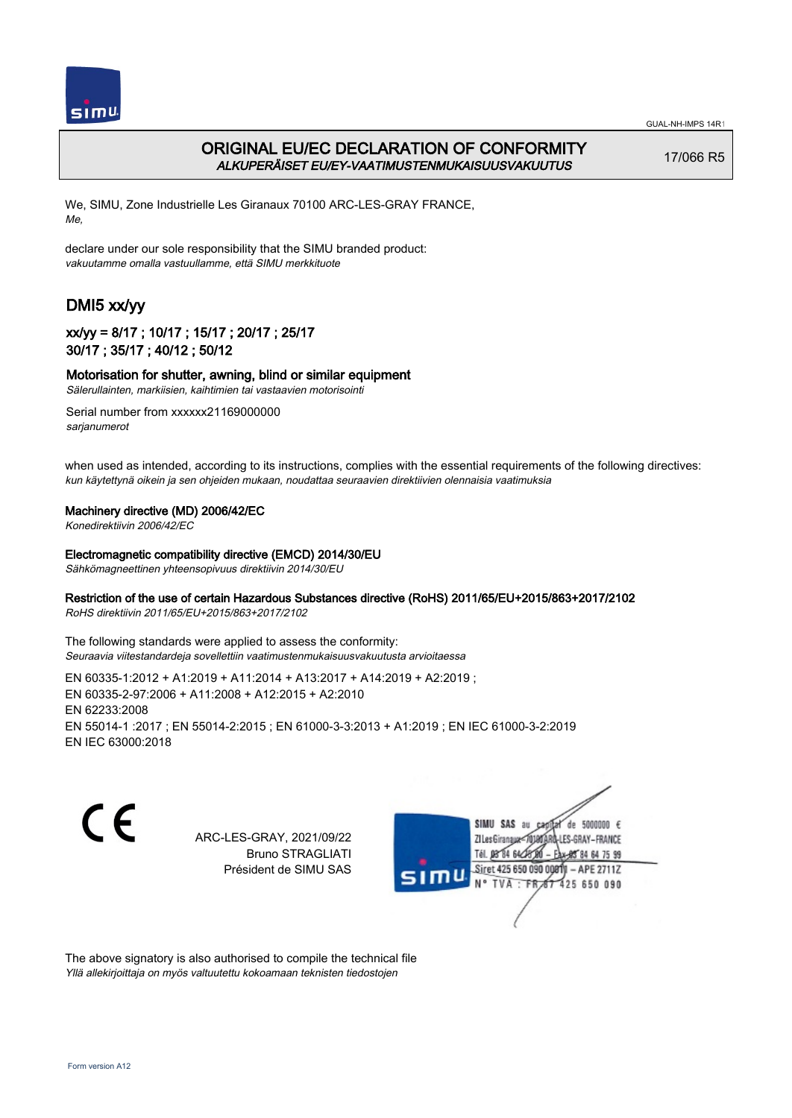



# ORIGINAL EU/EC DECLARATION OF CONFORMITY ALKUPERÄISET EU/EY-VAATIMUSTENMUKAISUUSVAKUUTUS

17/066 R5

We, SIMU, Zone Industrielle Les Giranaux 70100 ARC-LES-GRAY FRANCE, Me,

declare under our sole responsibility that the SIMU branded product: vakuutamme omalla vastuullamme, että SIMU merkkituote

# DMI5 xx/yy

### xx/yy = 8/17 ; 10/17 ; 15/17 ; 20/17 ; 25/17 30/17 ; 35/17 ; 40/12 ; 50/12

### Motorisation for shutter, awning, blind or similar equipment

Sälerullainten, markiisien, kaihtimien tai vastaavien motorisointi

Serial number from xxxxxx21169000000 sarianumerot

when used as intended, according to its instructions, complies with the essential requirements of the following directives: kun käytettynä oikein ja sen ohjeiden mukaan, noudattaa seuraavien direktiivien olennaisia vaatimuksia

### Machinery directive (MD) 2006/42/EC

Konedirektiivin 2006/42/EC

#### Electromagnetic compatibility directive (EMCD) 2014/30/EU

Sähkömagneettinen yhteensopivuus direktiivin 2014/30/EU

### Restriction of the use of certain Hazardous Substances directive (RoHS) 2011/65/EU+2015/863+2017/2102

RoHS direktiivin 2011/65/EU+2015/863+2017/2102

The following standards were applied to assess the conformity: Seuraavia viitestandardeja sovellettiin vaatimustenmukaisuusvakuutusta arvioitaessa

EN 60335‑1:2012 + A1:2019 + A11:2014 + A13:2017 + A14:2019 + A2:2019 ; EN 60335‑2‑97:2006 + A11:2008 + A12:2015 + A2:2010 EN 62233:2008 EN 55014‑1 :2017 ; EN 55014‑2:2015 ; EN 61000‑3‑3:2013 + A1:2019 ; EN IEC 61000‑3‑2:2019 EN IEC 63000:2018

C F

ARC-LES-GRAY, 2021/09/22 Bruno STRAGLIATI Président de SIMU SAS



The above signatory is also authorised to compile the technical file Yllä allekirjoittaja on myös valtuutettu kokoamaan teknisten tiedostojen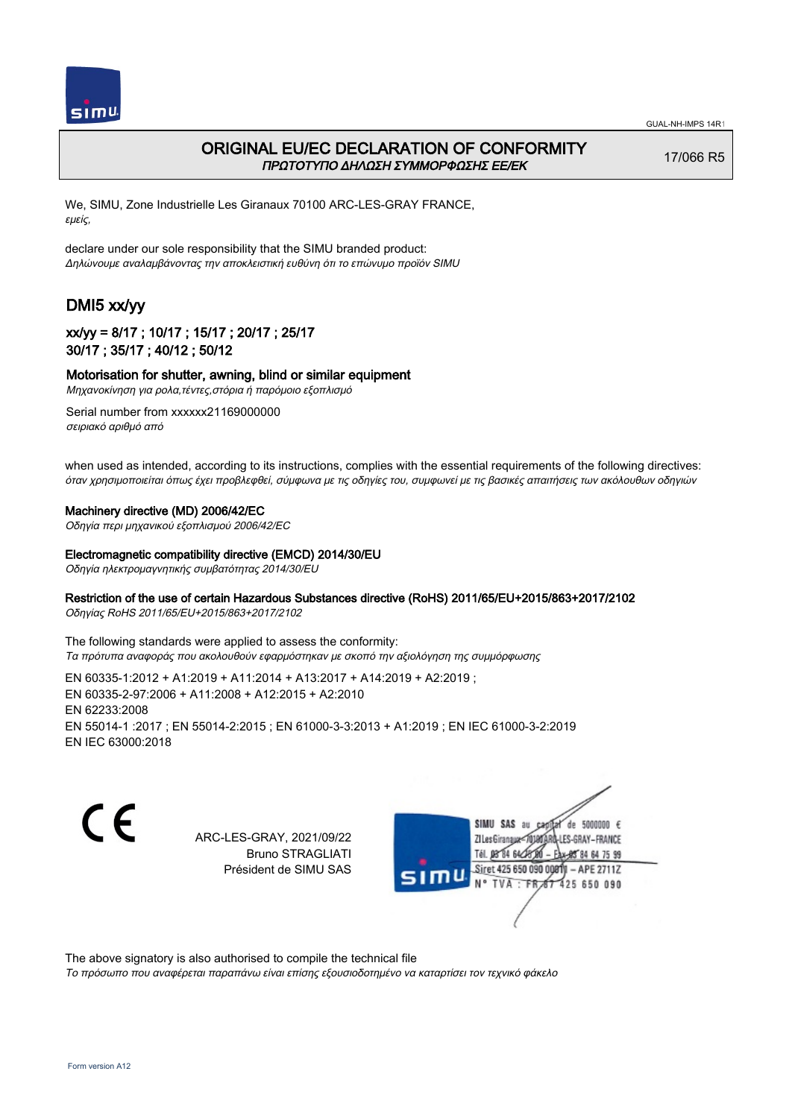



# ORIGINAL EU/EC DECLARATION OF CONFORMITY ΠΡΩΤΟΤΥΠΟ ΔΗΛΩΣΗ ΣΥΜΜΟΡΦΩΣΗΣ ΕΕ/EK

17/066 R5

We, SIMU, Zone Industrielle Les Giranaux 70100 ARC-LES-GRAY FRANCE, εμείς,

declare under our sole responsibility that the SIMU branded product: Δηλώνουμε αναλαμβάνοντας την αποκλειστική ευθύνη ότι το επώνυμο προϊόν SIMU

# DMI5 xx/yy

## xx/yy = 8/17 ; 10/17 ; 15/17 ; 20/17 ; 25/17 30/17 ; 35/17 ; 40/12 ; 50/12

### Motorisation for shutter, awning, blind or similar equipment

Μηχανοκίνηση για ρολα,τέντες,στόρια ή παρόμοιο εξοπλισμό

Serial number from xxxxxx21169000000 σειριακό αριθμό από

when used as intended, according to its instructions, complies with the essential requirements of the following directives: όταν χρησιμοποιείται όπως έχει προβλεφθεί, σύμφωνα με τις οδηγίες του, συμφωνεί με τις βασικές απαιτήσεις των ακόλουθων οδηγιών

### Machinery directive (MD) 2006/42/EC

Οδηγία περι μηχανικού εξοπλισμού 2006/42/EC

#### Electromagnetic compatibility directive (EMCD) 2014/30/EU

Οδηγία ηλεκτρομαγνητικής συμβατότητας 2014/30/EU

### Restriction of the use of certain Hazardous Substances directive (RoHS) 2011/65/EU+2015/863+2017/2102

Οδηγίας RoHS 2011/65/EU+2015/863+2017/2102

The following standards were applied to assess the conformity: Τα πρότυπα αναφοράς που ακολουθούν εφαρμόστηκαν με σκοπό την αξιολόγηση της συμμόρφωσης

EN 60335‑1:2012 + A1:2019 + A11:2014 + A13:2017 + A14:2019 + A2:2019 ; EN 60335‑2‑97:2006 + A11:2008 + A12:2015 + A2:2010 EN 62233:2008 EN 55014‑1 :2017 ; EN 55014‑2:2015 ; EN 61000‑3‑3:2013 + A1:2019 ; EN IEC 61000‑3‑2:2019 EN IEC 63000:2018

 $\epsilon$ 

ARC-LES-GRAY, 2021/09/22 Bruno STRAGLIATI Président de SIMU SAS



The above signatory is also authorised to compile the technical file

Το πρόσωπο που αναφέρεται παραπάνω είναι επίσης εξουσιοδοτημένο να καταρτίσει τον τεχνικό φάκελο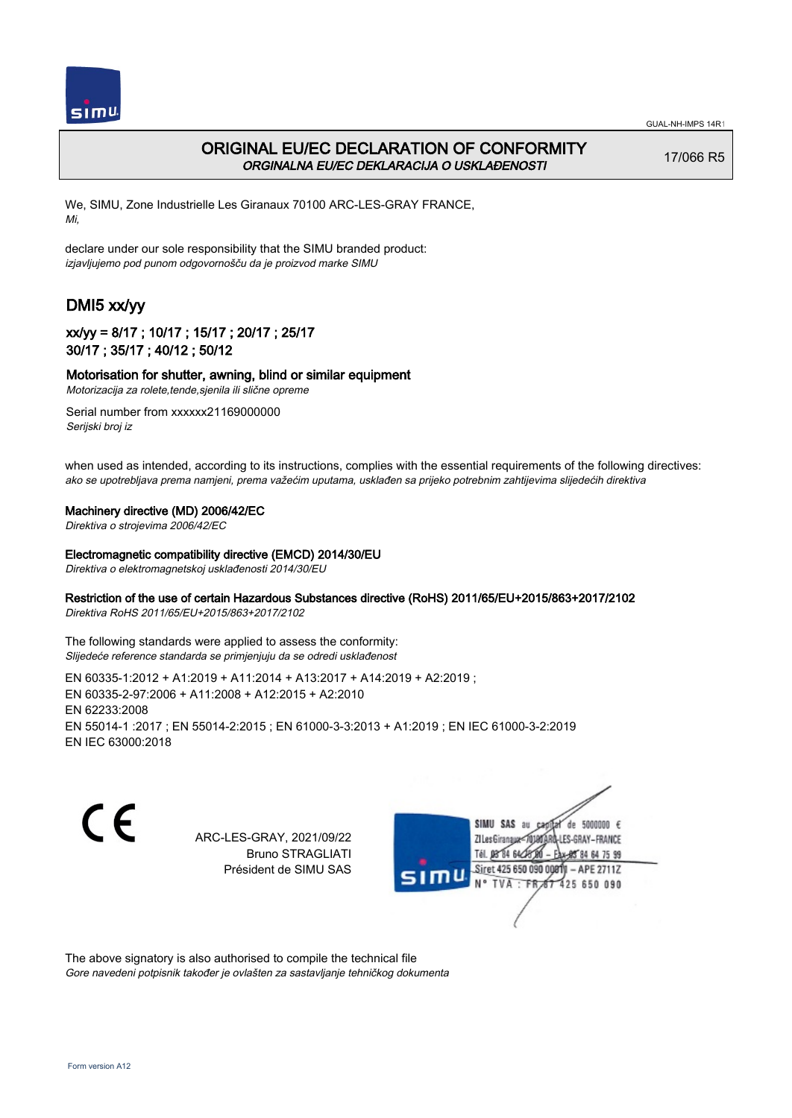

# ORIGINAL EU/EC DECLARATION OF CONFORMITY ORGINALNA EU/EC DEKLARACIJA O USKLAĐENOSTI

17/066 R5

We, SIMU, Zone Industrielle Les Giranaux 70100 ARC-LES-GRAY FRANCE, Mi,

declare under our sole responsibility that the SIMU branded product: izjavljujemo pod punom odgovornošču da je proizvod marke SIMU

# DMI5 xx/yy

## xx/yy = 8/17 ; 10/17 ; 15/17 ; 20/17 ; 25/17 30/17 ; 35/17 ; 40/12 ; 50/12

### Motorisation for shutter, awning, blind or similar equipment

Motorizacija za rolete,tende,sjenila ili slične opreme Serial number from xxxxxx21169000000

Serijski broj iz

when used as intended, according to its instructions, complies with the essential requirements of the following directives: ako se upotrebljava prema namjeni, prema važećim uputama, usklađen sa prijeko potrebnim zahtijevima slijedećih direktiva

### Machinery directive (MD) 2006/42/EC

Direktiva o strojevima 2006/42/EC

### Electromagnetic compatibility directive (EMCD) 2014/30/EU

Direktiva o elektromagnetskoj usklađenosti 2014/30/EU

### Restriction of the use of certain Hazardous Substances directive (RoHS) 2011/65/EU+2015/863+2017/2102

Direktiva RoHS 2011/65/EU+2015/863+2017/2102

The following standards were applied to assess the conformity: Slijedeće reference standarda se primjenjuju da se odredi usklađenost

EN 60335‑1:2012 + A1:2019 + A11:2014 + A13:2017 + A14:2019 + A2:2019 ; EN 60335‑2‑97:2006 + A11:2008 + A12:2015 + A2:2010 EN 62233:2008 EN 55014‑1 :2017 ; EN 55014‑2:2015 ; EN 61000‑3‑3:2013 + A1:2019 ; EN IEC 61000‑3‑2:2019 EN IEC 63000:2018

C F

ARC-LES-GRAY, 2021/09/22 Bruno STRAGLIATI Président de SIMU SAS



The above signatory is also authorised to compile the technical file Gore navedeni potpisnik također je ovlašten za sastavljanje tehničkog dokumenta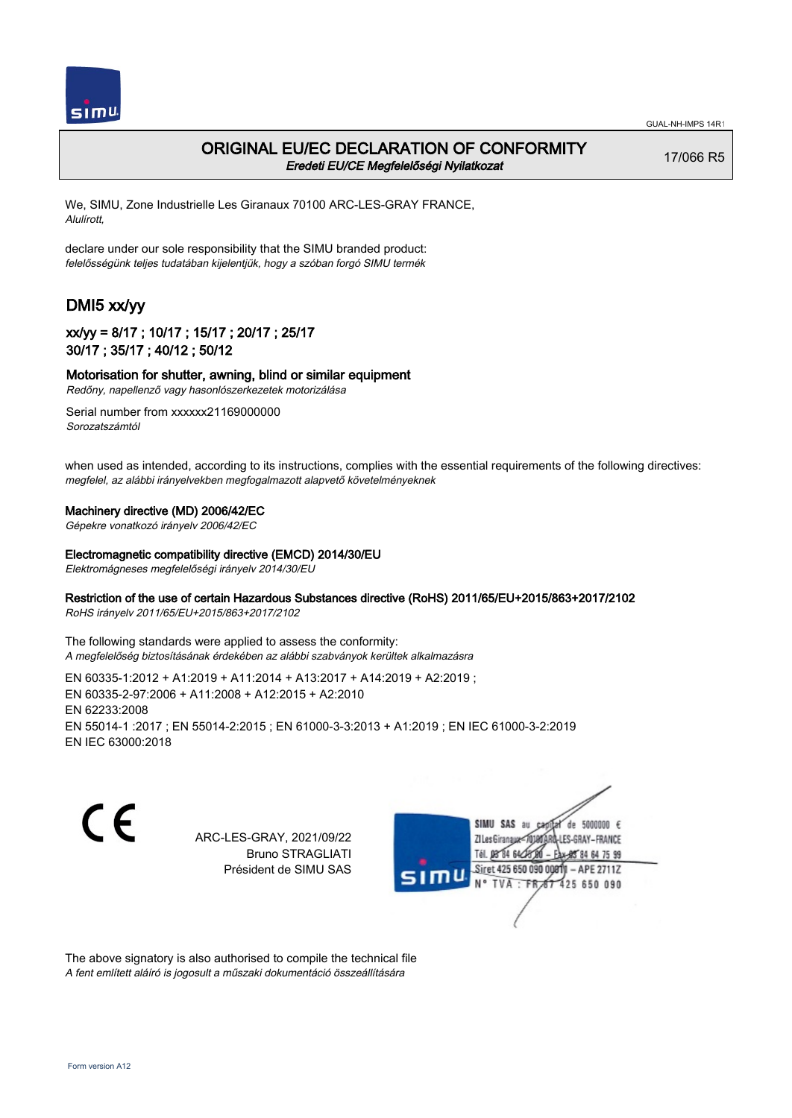

## ORIGINAL EU/EC DECLARATION OF CONFORMITY Eredeti EU/CE Megfelelőségi Nyilatkozat

17/066 R5

We, SIMU, Zone Industrielle Les Giranaux 70100 ARC-LES-GRAY FRANCE, Alulírott,

declare under our sole responsibility that the SIMU branded product: felelősségünk teljes tudatában kijelentjük, hogy a szóban forgó SIMU termék

# DMI5 xx/yy

## xx/yy = 8/17 ; 10/17 ; 15/17 ; 20/17 ; 25/17 30/17 ; 35/17 ; 40/12 ; 50/12

Motorisation for shutter, awning, blind or similar equipment

Redőny, napellenző vagy hasonlószerkezetek motorizálása

Serial number from xxxxxx21169000000 Sorozatszámtól

when used as intended, according to its instructions, complies with the essential requirements of the following directives: megfelel, az alábbi irányelvekben megfogalmazott alapvető követelményeknek

### Machinery directive (MD) 2006/42/EC

Gépekre vonatkozó irányelv 2006/42/EC

### Electromagnetic compatibility directive (EMCD) 2014/30/EU

Elektromágneses megfelelőségi irányelv 2014/30/EU

### Restriction of the use of certain Hazardous Substances directive (RoHS) 2011/65/EU+2015/863+2017/2102

RoHS irányelv 2011/65/EU+2015/863+2017/2102

The following standards were applied to assess the conformity: A megfelelőség biztosításának érdekében az alábbi szabványok kerültek alkalmazásra

EN 60335‑1:2012 + A1:2019 + A11:2014 + A13:2017 + A14:2019 + A2:2019 ; EN 60335‑2‑97:2006 + A11:2008 + A12:2015 + A2:2010 EN 62233:2008 EN 55014‑1 :2017 ; EN 55014‑2:2015 ; EN 61000‑3‑3:2013 + A1:2019 ; EN IEC 61000‑3‑2:2019 EN IEC 63000:2018

C F

ARC-LES-GRAY, 2021/09/22 Bruno STRAGLIATI Président de SIMU SAS



The above signatory is also authorised to compile the technical file A fent említett aláíró is jogosult a műszaki dokumentáció összeállítására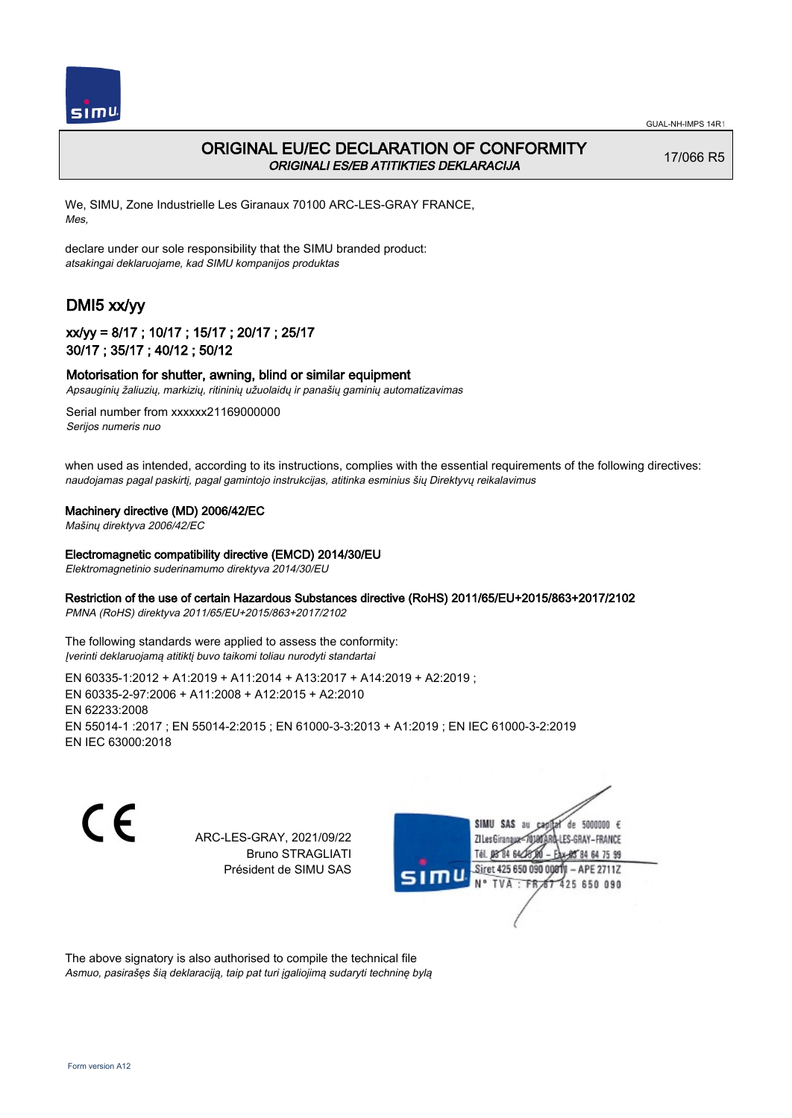

# ORIGINAL EU/EC DECLARATION OF CONFORMITY ORIGINALI ES/EB ATITIKTIES DEKLARACIJA

17/066 R5

We, SIMU, Zone Industrielle Les Giranaux 70100 ARC-LES-GRAY FRANCE, Mes,

declare under our sole responsibility that the SIMU branded product: atsakingai deklaruojame, kad SIMU kompanijos produktas

# DMI5 xx/yy

## xx/yy = 8/17 ; 10/17 ; 15/17 ; 20/17 ; 25/17 30/17 ; 35/17 ; 40/12 ; 50/12

### Motorisation for shutter, awning, blind or similar equipment

Apsauginių žaliuzių, markizių, ritininių užuolaidų ir panašių gaminių automatizavimas

Serial number from xxxxxx21169000000 Serijos numeris nuo

when used as intended, according to its instructions, complies with the essential requirements of the following directives: naudojamas pagal paskirtį, pagal gamintojo instrukcijas, atitinka esminius šių Direktyvų reikalavimus

#### Machinery directive (MD) 2006/42/EC

Mašinų direktyva 2006/42/EC

#### Electromagnetic compatibility directive (EMCD) 2014/30/EU

Elektromagnetinio suderinamumo direktyva 2014/30/EU

### Restriction of the use of certain Hazardous Substances directive (RoHS) 2011/65/EU+2015/863+2017/2102

PMNA (RoHS) direktyva 2011/65/EU+2015/863+2017/2102

The following standards were applied to assess the conformity: Įverinti deklaruojamą atitiktį buvo taikomi toliau nurodyti standartai

EN 60335‑1:2012 + A1:2019 + A11:2014 + A13:2017 + A14:2019 + A2:2019 ; EN 60335‑2‑97:2006 + A11:2008 + A12:2015 + A2:2010 EN 62233:2008 EN 55014‑1 :2017 ; EN 55014‑2:2015 ; EN 61000‑3‑3:2013 + A1:2019 ; EN IEC 61000‑3‑2:2019 EN IEC 63000:2018

C F

ARC-LES-GRAY, 2021/09/22 Bruno STRAGLIATI Président de SIMU SAS



The above signatory is also authorised to compile the technical file Asmuo, pasirašęs šią deklaraciją, taip pat turi įgaliojimą sudaryti techninę bylą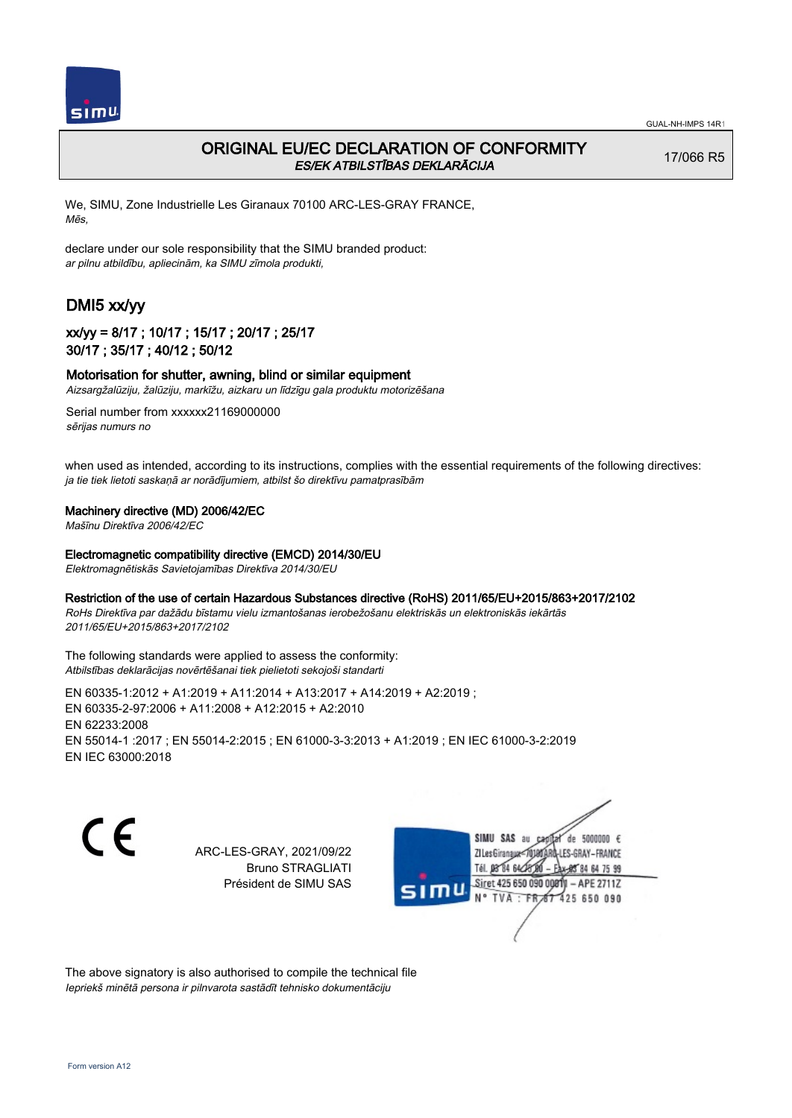

# ORIGINAL EU/EC DECLARATION OF CONFORMITY ES/EK ATBILSTĪBAS DEKLARĀCIJA

17/066 R5

We, SIMU, Zone Industrielle Les Giranaux 70100 ARC-LES-GRAY FRANCE, Mēs,

declare under our sole responsibility that the SIMU branded product: ar pilnu atbildību, apliecinām, ka SIMU zīmola produkti,

# DMI5 xx/yy

## xx/yy = 8/17 ; 10/17 ; 15/17 ; 20/17 ; 25/17 30/17 ; 35/17 ; 40/12 ; 50/12

### Motorisation for shutter, awning, blind or similar equipment

Aizsargžalūziju, žalūziju, markīžu, aizkaru un līdzīgu gala produktu motorizēšana

Serial number from xxxxxx21169000000 sērijas numurs no

when used as intended, according to its instructions, complies with the essential requirements of the following directives: ja tie tiek lietoti saskaņā ar norādījumiem, atbilst šo direktīvu pamatprasībām

#### Machinery directive (MD) 2006/42/EC

Mašīnu Direktīva 2006/42/EC

#### Electromagnetic compatibility directive (EMCD) 2014/30/EU

Elektromagnētiskās Savietojamības Direktīva 2014/30/EU

### Restriction of the use of certain Hazardous Substances directive (RoHS) 2011/65/EU+2015/863+2017/2102

RoHs Direktīva par dažādu bīstamu vielu izmantošanas ierobežošanu elektriskās un elektroniskās iekārtās 2011/65/EU+2015/863+2017/2102

The following standards were applied to assess the conformity: Atbilstības deklarācijas novērtēšanai tiek pielietoti sekojoši standarti

EN 60335‑1:2012 + A1:2019 + A11:2014 + A13:2017 + A14:2019 + A2:2019 ; EN 60335‑2‑97:2006 + A11:2008 + A12:2015 + A2:2010 EN 62233:2008 EN 55014‑1 :2017 ; EN 55014‑2:2015 ; EN 61000‑3‑3:2013 + A1:2019 ; EN IEC 61000‑3‑2:2019 EN IEC 63000:2018

C E

ARC-LES-GRAY, 2021/09/22 Bruno STRAGLIATI Président de SIMU SAS

SIMU SAS au de 5000000  $\epsilon$ **ZILesGiranaux** ES-GRAY-FRANCE 64 75 99 Siret 425 650 090 00811  $-$  APE 2711Z **TVA** 425 650 090

The above signatory is also authorised to compile the technical file Iepriekš minētā persona ir pilnvarota sastādīt tehnisko dokumentāciju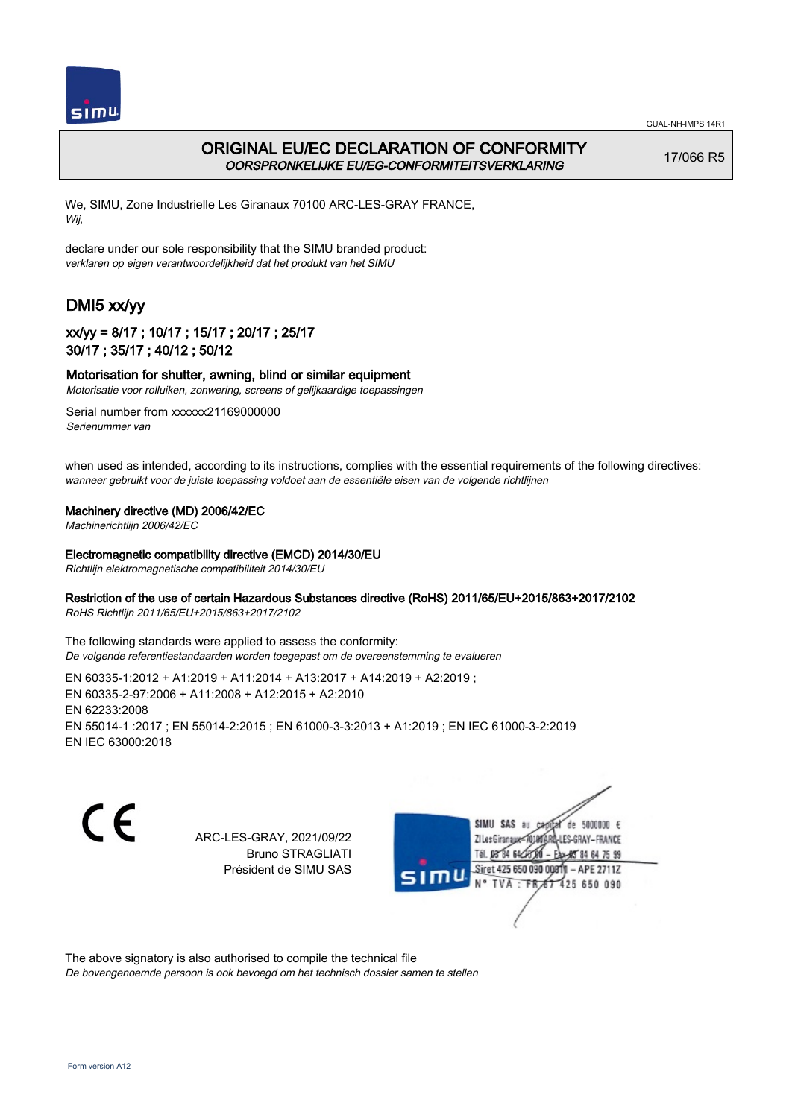

# ORIGINAL EU/EC DECLARATION OF CONFORMITY OORSPRONKELIJKE EU/EG-CONFORMITEITSVERKLARING

17/066 R5

We, SIMU, Zone Industrielle Les Giranaux 70100 ARC-LES-GRAY FRANCE, Wij,

declare under our sole responsibility that the SIMU branded product: verklaren op eigen verantwoordelijkheid dat het produkt van het SIMU

# DMI5 xx/yy

## xx/yy = 8/17 ; 10/17 ; 15/17 ; 20/17 ; 25/17 30/17 ; 35/17 ; 40/12 ; 50/12

### Motorisation for shutter, awning, blind or similar equipment

Motorisatie voor rolluiken, zonwering, screens of gelijkaardige toepassingen

Serial number from xxxxxx21169000000 Serienummer van

when used as intended, according to its instructions, complies with the essential requirements of the following directives: wanneer gebruikt voor de juiste toepassing voldoet aan de essentiële eisen van de volgende richtlijnen

### Machinery directive (MD) 2006/42/EC

Machinerichtlijn 2006/42/EC

#### Electromagnetic compatibility directive (EMCD) 2014/30/EU

Richtlijn elektromagnetische compatibiliteit 2014/30/EU

### Restriction of the use of certain Hazardous Substances directive (RoHS) 2011/65/EU+2015/863+2017/2102

RoHS Richtlijn 2011/65/EU+2015/863+2017/2102

The following standards were applied to assess the conformity: De volgende referentiestandaarden worden toegepast om de overeenstemming te evalueren

EN 60335‑1:2012 + A1:2019 + A11:2014 + A13:2017 + A14:2019 + A2:2019 ; EN 60335‑2‑97:2006 + A11:2008 + A12:2015 + A2:2010 EN 62233:2008 EN 55014‑1 :2017 ; EN 55014‑2:2015 ; EN 61000‑3‑3:2013 + A1:2019 ; EN IEC 61000‑3‑2:2019 EN IEC 63000:2018

C F

ARC-LES-GRAY, 2021/09/22 Bruno STRAGLIATI Président de SIMU SAS



The above signatory is also authorised to compile the technical file

De bovengenoemde persoon is ook bevoegd om het technisch dossier samen te stellen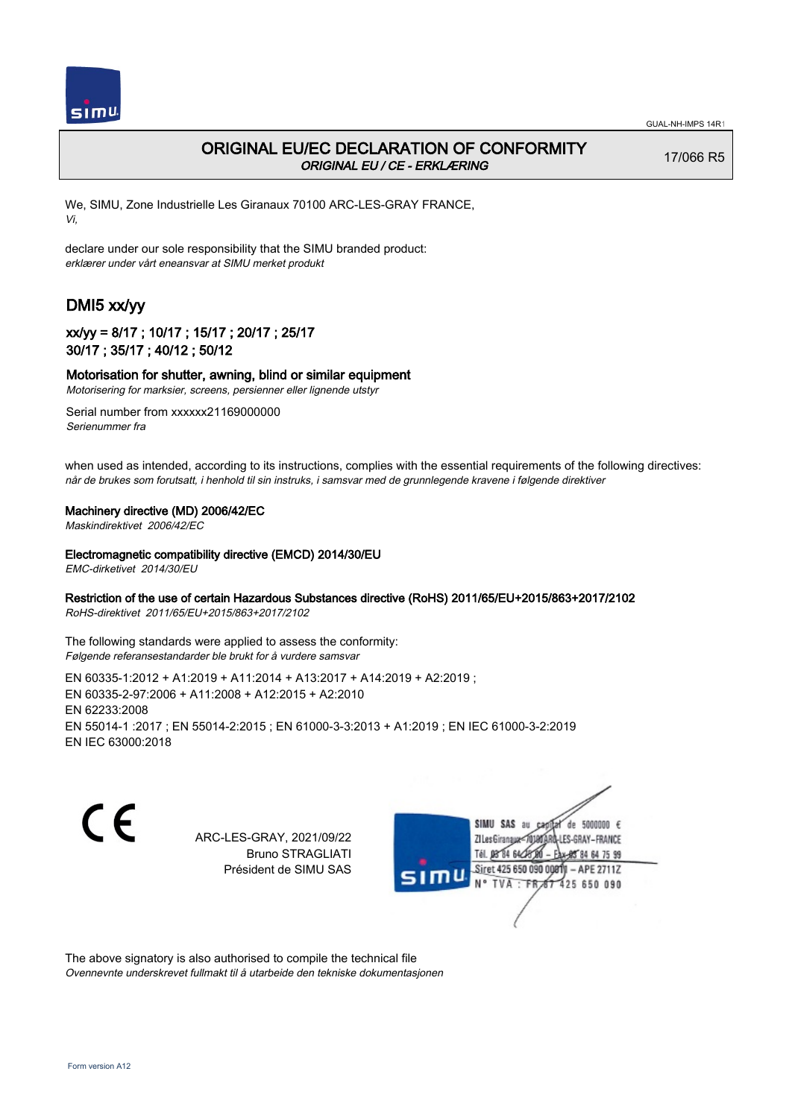

17/066 R5

# ORIGINAL EU/EC DECLARATION OF CONFORMITY ORIGINAL EU / CE - ERKLÆRING

We, SIMU, Zone Industrielle Les Giranaux 70100 ARC-LES-GRAY FRANCE,

Vi,

declare under our sole responsibility that the SIMU branded product: erklærer under vårt eneansvar at SIMU merket produkt

# DMI5 xx/yy

## xx/yy = 8/17 ; 10/17 ; 15/17 ; 20/17 ; 25/17 30/17 ; 35/17 ; 40/12 ; 50/12

### Motorisation for shutter, awning, blind or similar equipment

Motorisering for marksier, screens, persienner eller lignende utstyr

Serial number from xxxxxx21169000000 Serienummer fra

when used as intended, according to its instructions, complies with the essential requirements of the following directives: når de brukes som forutsatt, i henhold til sin instruks, i samsvar med de grunnlegende kravene i følgende direktiver

### Machinery directive (MD) 2006/42/EC

Maskindirektivet 2006/42/EC

### Electromagnetic compatibility directive (EMCD) 2014/30/EU

EMC-dirketivet 2014/30/EU

### Restriction of the use of certain Hazardous Substances directive (RoHS) 2011/65/EU+2015/863+2017/2102

RoHS-direktivet 2011/65/EU+2015/863+2017/2102

The following standards were applied to assess the conformity: Følgende referansestandarder ble brukt for å vurdere samsvar

EN 60335‑1:2012 + A1:2019 + A11:2014 + A13:2017 + A14:2019 + A2:2019 ; EN 60335‑2‑97:2006 + A11:2008 + A12:2015 + A2:2010 EN 62233:2008 EN 55014‑1 :2017 ; EN 55014‑2:2015 ; EN 61000‑3‑3:2013 + A1:2019 ; EN IEC 61000‑3‑2:2019 EN IEC 63000:2018

 $\epsilon$ 

ARC-LES-GRAY, 2021/09/22 Bruno STRAGLIATI Président de SIMU SAS



The above signatory is also authorised to compile the technical file Ovennevnte underskrevet fullmakt til å utarbeide den tekniske dokumentasjonen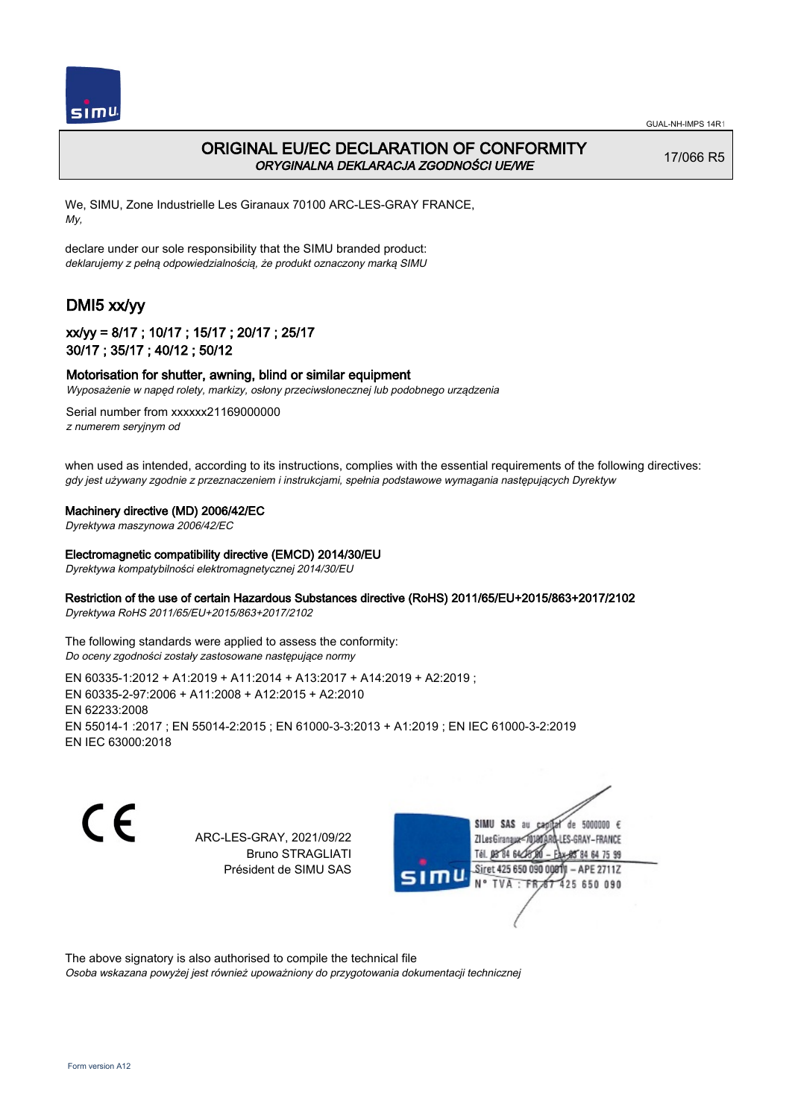

# ORIGINAL EU/EC DECLARATION OF CONFORMITY ORYGINALNA DEKLARACJA ZGODNOŚCI UE/WE

17/066 R5

We, SIMU, Zone Industrielle Les Giranaux 70100 ARC-LES-GRAY FRANCE, My,

declare under our sole responsibility that the SIMU branded product: deklarujemy z pełną odpowiedzialnością, że produkt oznaczony marką SIMU

# DMI5 xx/yy

## xx/yy = 8/17 ; 10/17 ; 15/17 ; 20/17 ; 25/17 30/17 ; 35/17 ; 40/12 ; 50/12

### Motorisation for shutter, awning, blind or similar equipment

Wyposażenie w napęd rolety, markizy, osłony przeciwsłonecznej lub podobnego urządzenia

Serial number from xxxxxx21169000000 z numerem seryjnym od

when used as intended, according to its instructions, complies with the essential requirements of the following directives: gdy jest używany zgodnie z przeznaczeniem i instrukcjami, spełnia podstawowe wymagania następujących Dyrektyw

#### Machinery directive (MD) 2006/42/EC

Dyrektywa maszynowa 2006/42/EC

#### Electromagnetic compatibility directive (EMCD) 2014/30/EU

Dyrektywa kompatybilności elektromagnetycznej 2014/30/EU

### Restriction of the use of certain Hazardous Substances directive (RoHS) 2011/65/EU+2015/863+2017/2102

Dyrektywa RoHS 2011/65/EU+2015/863+2017/2102

The following standards were applied to assess the conformity: Do oceny zgodności zostały zastosowane następujące normy

EN 60335‑1:2012 + A1:2019 + A11:2014 + A13:2017 + A14:2019 + A2:2019 ; EN 60335‑2‑97:2006 + A11:2008 + A12:2015 + A2:2010 EN 62233:2008 EN 55014‑1 :2017 ; EN 55014‑2:2015 ; EN 61000‑3‑3:2013 + A1:2019 ; EN IEC 61000‑3‑2:2019 EN IEC 63000:2018

C F

ARC-LES-GRAY, 2021/09/22 Bruno STRAGLIATI Président de SIMU SAS

de 5000000  $\epsilon$ **ZILes Giranaux** ES-GRAY-FRANCE Tél. 08 84 64 28 85 84 64 75 99 Siret 425 650 090 00811 - APE 2711Z **TVA** 425 650 090

The above signatory is also authorised to compile the technical file

Osoba wskazana powyżej jest również upoważniony do przygotowania dokumentacji technicznej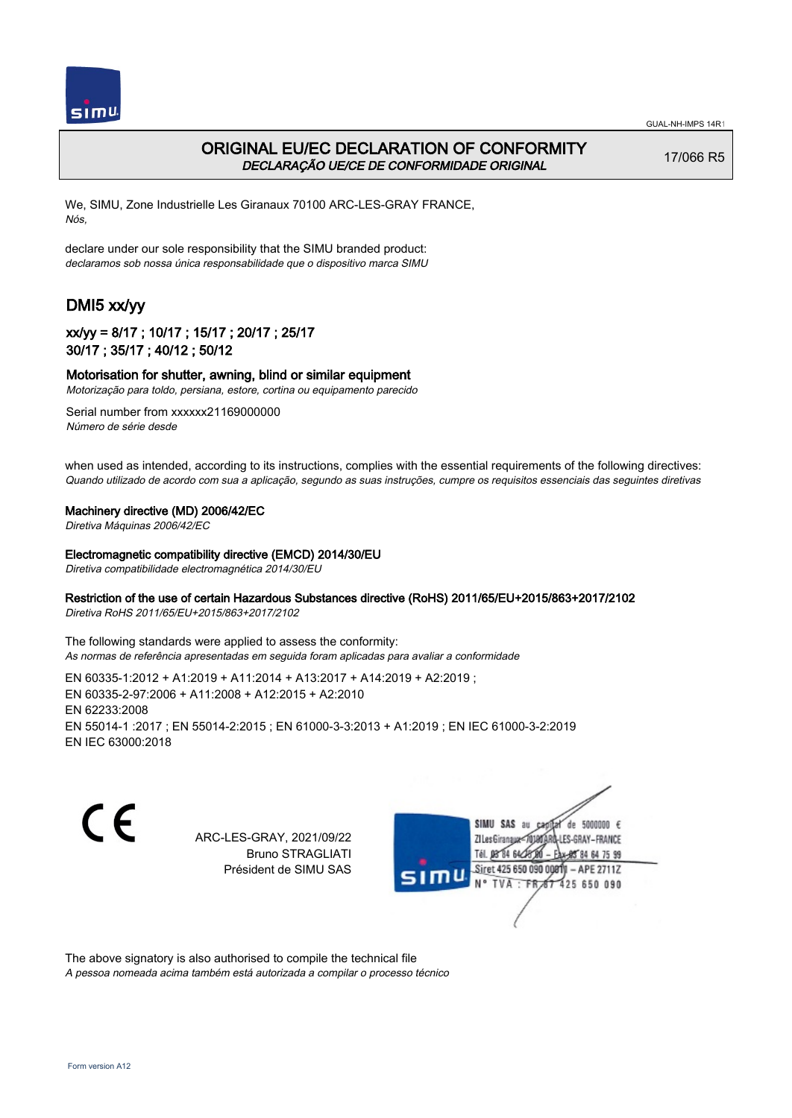



## ORIGINAL EU/EC DECLARATION OF CONFORMITY DECLARAÇÃO UE/CE DE CONFORMIDADE ORIGINAL

17/066 R5

We, SIMU, Zone Industrielle Les Giranaux 70100 ARC-LES-GRAY FRANCE, Nós,

declare under our sole responsibility that the SIMU branded product: declaramos sob nossa única responsabilidade que o dispositivo marca SIMU

# DMI5 xx/yy

### xx/yy = 8/17 ; 10/17 ; 15/17 ; 20/17 ; 25/17 30/17 ; 35/17 ; 40/12 ; 50/12

### Motorisation for shutter, awning, blind or similar equipment

Motorização para toldo, persiana, estore, cortina ou equipamento parecido

Serial number from xxxxxx21169000000 Número de série desde

when used as intended, according to its instructions, complies with the essential requirements of the following directives: Quando utilizado de acordo com sua a aplicação, segundo as suas instruções, cumpre os requisitos essenciais das seguintes diretivas

#### Machinery directive (MD) 2006/42/EC

Diretiva Máquinas 2006/42/EC

#### Electromagnetic compatibility directive (EMCD) 2014/30/EU

Diretiva compatibilidade electromagnética 2014/30/EU

### Restriction of the use of certain Hazardous Substances directive (RoHS) 2011/65/EU+2015/863+2017/2102

Diretiva RoHS 2011/65/EU+2015/863+2017/2102

The following standards were applied to assess the conformity: As normas de referência apresentadas em seguida foram aplicadas para avaliar a conformidade

EN 60335‑1:2012 + A1:2019 + A11:2014 + A13:2017 + A14:2019 + A2:2019 ; EN 60335‑2‑97:2006 + A11:2008 + A12:2015 + A2:2010 EN 62233:2008 EN 55014‑1 :2017 ; EN 55014‑2:2015 ; EN 61000‑3‑3:2013 + A1:2019 ; EN IEC 61000‑3‑2:2019 EN IEC 63000:2018

C F

ARC-LES-GRAY, 2021/09/22 Bruno STRAGLIATI Président de SIMU SAS



The above signatory is also authorised to compile the technical file

A pessoa nomeada acima também está autorizada a compilar o processo técnico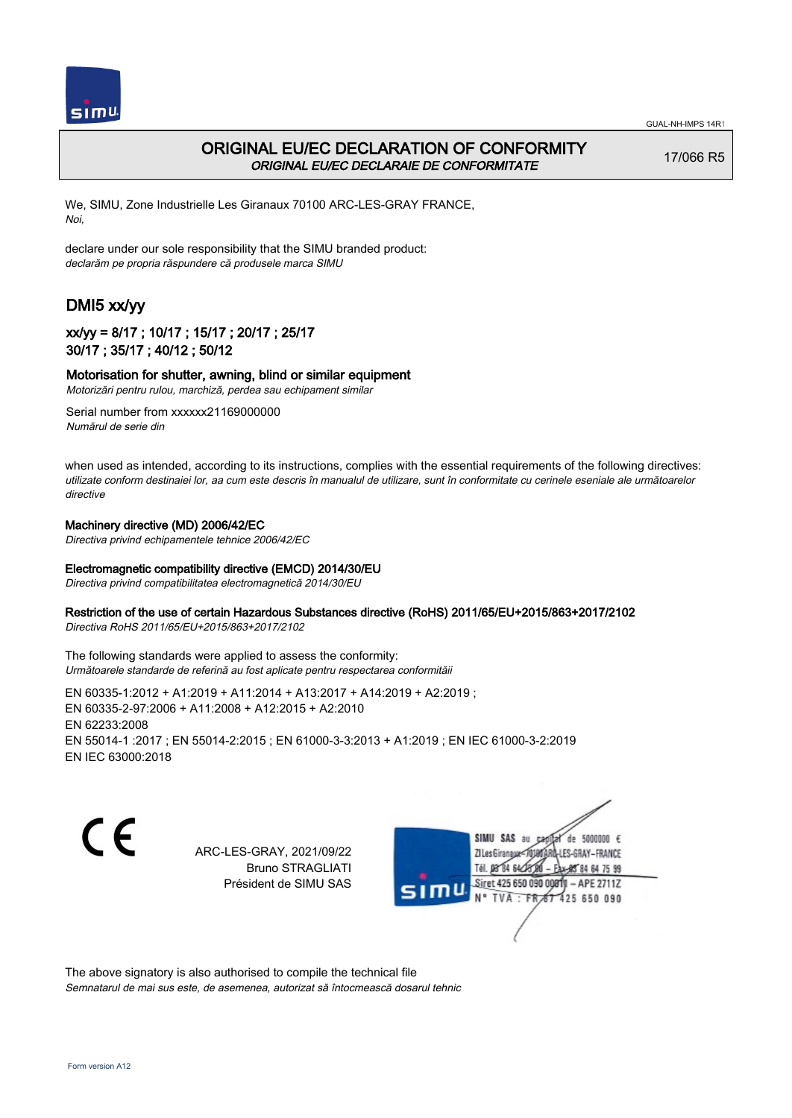



## ORIGINAL EU/EC DECLARATION OF CONFORMITY ORIGINAL EU/EC DECLARAIE DE CONFORMITATE

17/066 R5

We, SIMU, Zone Industrielle Les Giranaux 70100 ARC-LES-GRAY FRANCE, Noi,

declare under our sole responsibility that the SIMU branded product: declarăm pe propria răspundere că produsele marca SIMU

# DMI5 xx/yy

### xx/yy = 8/17 ; 10/17 ; 15/17 ; 20/17 ; 25/17 30/17 ; 35/17 ; 40/12 ; 50/12

### Motorisation for shutter, awning, blind or similar equipment

Motorizări pentru rulou, marchiză, perdea sau echipament similar

Serial number from xxxxxx21169000000 Numărul de serie din

when used as intended, according to its instructions, complies with the essential requirements of the following directives: utilizate conform destinaiei lor, aa cum este descris în manualul de utilizare, sunt în conformitate cu cerinele eseniale ale următoarelor directive

#### Machinery directive (MD) 2006/42/EC

Directiva privind echipamentele tehnice 2006/42/EC

### Electromagnetic compatibility directive (EMCD) 2014/30/EU

Directiva privind compatibilitatea electromagnetică 2014/30/EU

#### Restriction of the use of certain Hazardous Substances directive (RoHS) 2011/65/EU+2015/863+2017/2102

Directiva RoHS 2011/65/EU+2015/863+2017/2102

The following standards were applied to assess the conformity: Următoarele standarde de referină au fost aplicate pentru respectarea conformităii

EN 60335‑1:2012 + A1:2019 + A11:2014 + A13:2017 + A14:2019 + A2:2019 ; EN 60335‑2‑97:2006 + A11:2008 + A12:2015 + A2:2010 EN 62233:2008 EN 55014‑1 :2017 ; EN 55014‑2:2015 ; EN 61000‑3‑3:2013 + A1:2019 ; EN IEC 61000‑3‑2:2019 EN IEC 63000:2018

C F

ARC-LES-GRAY, 2021/09/22 Bruno STRAGLIATI Président de SIMU SAS



The above signatory is also authorised to compile the technical file Semnatarul de mai sus este, de asemenea, autorizat să întocmească dosarul tehnic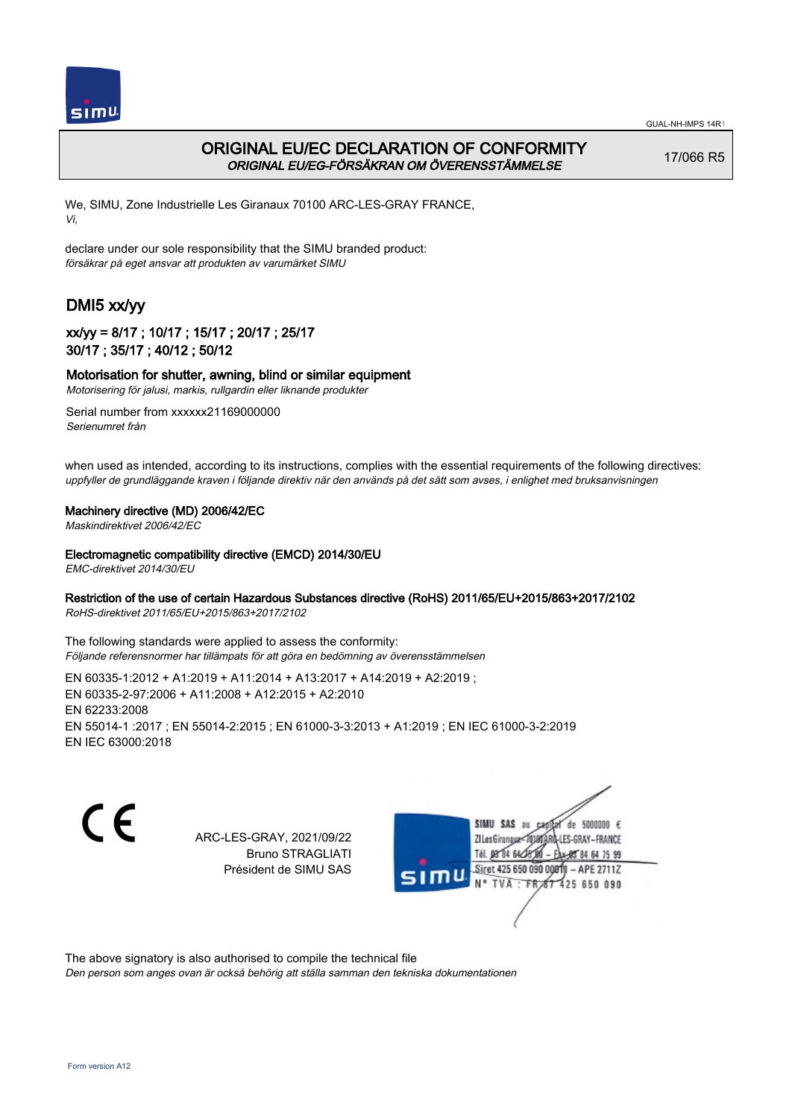

# ORIGINAL EU/EC DECLARATION OF CONFORMITY ORIGINAL EU/EG-FÖRSÄKRAN OM ÖVERENSSTÄMMELSE

17/066 R5

We, SIMU, Zone Industrielle Les Giranaux 70100 ARC-LES-GRAY FRANCE, Vi,

declare under our sole responsibility that the SIMU branded product: försäkrar på eget ansvar att produkten av varumärket SIMU

# DMI5 xx/yy

## xx/yy = 8/17 ; 10/17 ; 15/17 ; 20/17 ; 25/17 30/17 ; 35/17 ; 40/12 ; 50/12

### Motorisation for shutter, awning, blind or similar equipment

Motorisering för jalusi, markis, rullgardin eller liknande produkter

Serial number from xxxxxx21169000000 Serienumret från

when used as intended, according to its instructions, complies with the essential requirements of the following directives: uppfyller de grundläggande kraven i följande direktiv när den används på det sätt som avses, i enlighet med bruksanvisningen

### Machinery directive (MD) 2006/42/EC

Maskindirektivet 2006/42/EC

### Electromagnetic compatibility directive (EMCD) 2014/30/EU

EMC-direktivet 2014/30/EU

### Restriction of the use of certain Hazardous Substances directive (RoHS) 2011/65/EU+2015/863+2017/2102

RoHS-direktivet 2011/65/EU+2015/863+2017/2102

The following standards were applied to assess the conformity: Följande referensnormer har tillämpats för att göra en bedömning av överensstämmelsen

EN 60335‑1:2012 + A1:2019 + A11:2014 + A13:2017 + A14:2019 + A2:2019 ; EN 60335‑2‑97:2006 + A11:2008 + A12:2015 + A2:2010 EN 62233:2008 EN 55014‑1 :2017 ; EN 55014‑2:2015 ; EN 61000‑3‑3:2013 + A1:2019 ; EN IEC 61000‑3‑2:2019 EN IEC 63000:2018

 $\epsilon$ 

ARC-LES-GRAY, 2021/09/22 Bruno STRAGLIATI Président de SIMU SAS



The above signatory is also authorised to compile the technical file

Den person som anges ovan är också behörig att ställa samman den tekniska dokumentationen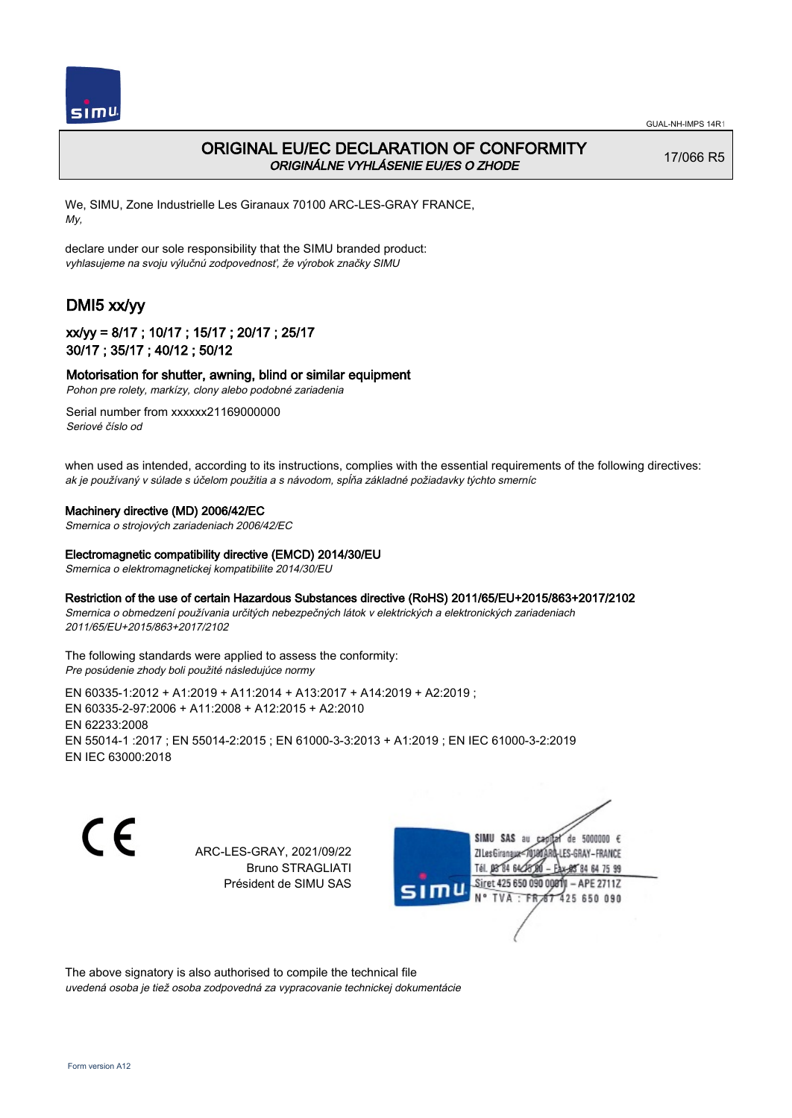

# ORIGINAL EU/EC DECLARATION OF CONFORMITY ORIGINÁLNE VYHLÁSENIE EU/ES O ZHODE

17/066 R5

We, SIMU, Zone Industrielle Les Giranaux 70100 ARC-LES-GRAY FRANCE, My,

declare under our sole responsibility that the SIMU branded product: vyhlasujeme na svoju výlučnú zodpovednosť, že výrobok značky SIMU

# DMI5 xx/yy

## xx/yy = 8/17 ; 10/17 ; 15/17 ; 20/17 ; 25/17 30/17 ; 35/17 ; 40/12 ; 50/12

### Motorisation for shutter, awning, blind or similar equipment

Pohon pre rolety, markízy, clony alebo podobné zariadenia

Serial number from xxxxxx21169000000 Seriové číslo od

when used as intended, according to its instructions, complies with the essential requirements of the following directives: ak je používaný v súlade s účelom použitia a s návodom, spĺňa základné požiadavky týchto smerníc

### Machinery directive (MD) 2006/42/EC

Smernica o strojových zariadeniach 2006/42/EC

### Electromagnetic compatibility directive (EMCD) 2014/30/EU

Smernica o elektromagnetickej kompatibilite 2014/30/EU

### Restriction of the use of certain Hazardous Substances directive (RoHS) 2011/65/EU+2015/863+2017/2102

Smernica o obmedzení používania určitých nebezpečných látok v elektrických a elektronických zariadeniach 2011/65/EU+2015/863+2017/2102

#### The following standards were applied to assess the conformity: Pre posúdenie zhody boli použité následujúce normy

EN 60335‑1:2012 + A1:2019 + A11:2014 + A13:2017 + A14:2019 + A2:2019 ; EN 60335‑2‑97:2006 + A11:2008 + A12:2015 + A2:2010 EN 62233:2008 EN 55014‑1 :2017 ; EN 55014‑2:2015 ; EN 61000‑3‑3:2013 + A1:2019 ; EN IEC 61000‑3‑2:2019 EN IEC 63000:2018

C F

ARC-LES-GRAY, 2021/09/22 Bruno STRAGLIATI Président de SIMU SAS



The above signatory is also authorised to compile the technical file uvedená osoba je tiež osoba zodpovedná za vypracovanie technickej dokumentácie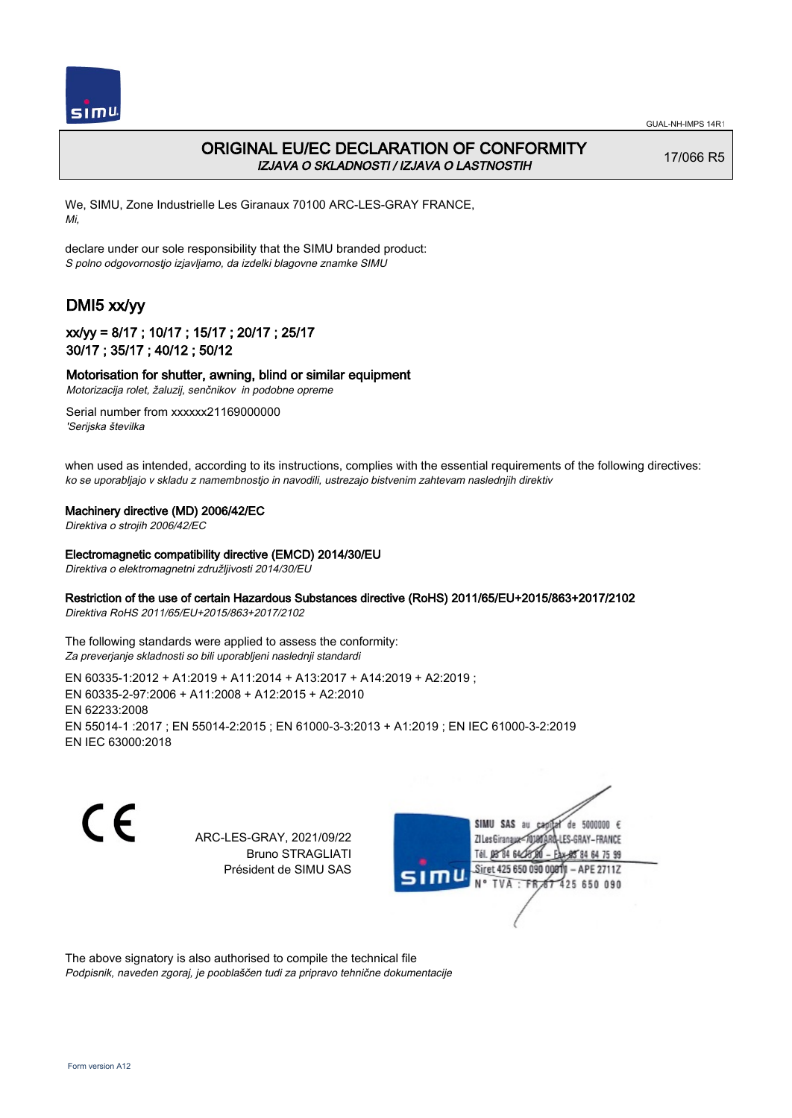

# ORIGINAL EU/EC DECLARATION OF CONFORMITY IZJAVA O SKLADNOSTI / IZJAVA O LASTNOSTIH

17/066 R5

We, SIMU, Zone Industrielle Les Giranaux 70100 ARC-LES-GRAY FRANCE, Mi,

declare under our sole responsibility that the SIMU branded product: S polno odgovornostjo izjavljamo, da izdelki blagovne znamke SIMU

# DMI5 xx/yy

## xx/yy = 8/17 ; 10/17 ; 15/17 ; 20/17 ; 25/17 30/17 ; 35/17 ; 40/12 ; 50/12

### Motorisation for shutter, awning, blind or similar equipment

Motorizacija rolet, žaluzij, senčnikov in podobne opreme

Serial number from xxxxxx21169000000 'Serijska številka

when used as intended, according to its instructions, complies with the essential requirements of the following directives: ko se uporabljajo v skladu z namembnostjo in navodili, ustrezajo bistvenim zahtevam naslednjih direktiv

### Machinery directive (MD) 2006/42/EC

Direktiva o strojih 2006/42/EC

### Electromagnetic compatibility directive (EMCD) 2014/30/EU

Direktiva o elektromagnetni združljivosti 2014/30/EU

### Restriction of the use of certain Hazardous Substances directive (RoHS) 2011/65/EU+2015/863+2017/2102

Direktiva RoHS 2011/65/EU+2015/863+2017/2102

The following standards were applied to assess the conformity: Za preverjanje skladnosti so bili uporabljeni naslednji standardi

EN 60335‑1:2012 + A1:2019 + A11:2014 + A13:2017 + A14:2019 + A2:2019 ; EN 60335‑2‑97:2006 + A11:2008 + A12:2015 + A2:2010 EN 62233:2008 EN 55014‑1 :2017 ; EN 55014‑2:2015 ; EN 61000‑3‑3:2013 + A1:2019 ; EN IEC 61000‑3‑2:2019 EN IEC 63000:2018

C F

ARC-LES-GRAY, 2021/09/22 Bruno STRAGLIATI Président de SIMU SAS



The above signatory is also authorised to compile the technical file Podpisnik, naveden zgoraj, je pooblaščen tudi za pripravo tehnične dokumentacije